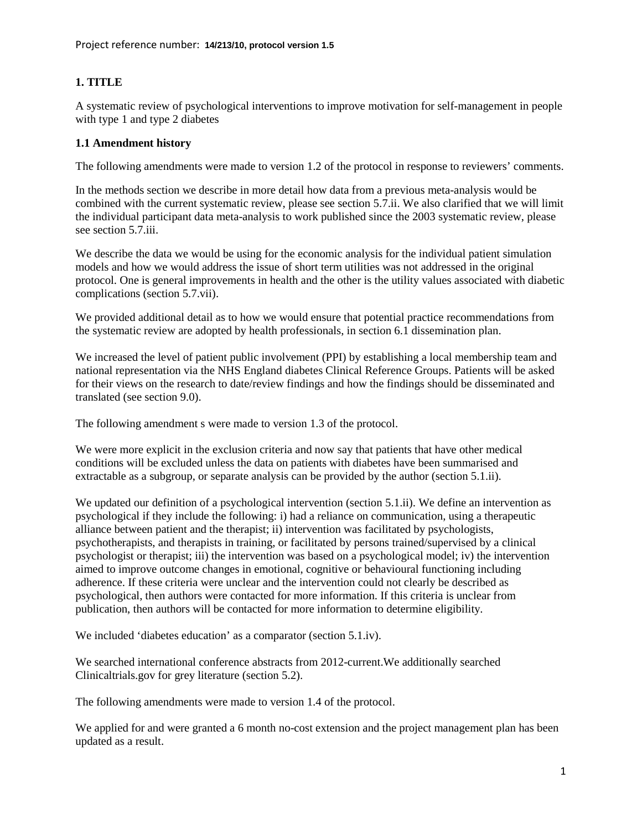## **1. TITLE**

A systematic review of psychological interventions to improve motivation for self-management in people with type 1 and type 2 diabetes

## **1.1 Amendment history**

The following amendments were made to version 1.2 of the protocol in response to reviewers' comments.

In the methods section we describe in more detail how data from a previous meta-analysis would be combined with the current systematic review, please see section 5.7.ii. We also clarified that we will limit the individual participant data meta-analysis to work published since the 2003 systematic review, please see section 5.7.iii.

We describe the data we would be using for the economic analysis for the individual patient simulation models and how we would address the issue of short term utilities was not addressed in the original protocol. One is general improvements in health and the other is the utility values associated with diabetic complications (section 5.7.vii).

We provided additional detail as to how we would ensure that potential practice recommendations from the systematic review are adopted by health professionals, in section 6.1 dissemination plan.

We increased the level of patient public involvement (PPI) by establishing a local membership team and national representation via the NHS England diabetes Clinical Reference Groups. Patients will be asked for their views on the research to date/review findings and how the findings should be disseminated and translated (see section 9.0).

The following amendment s were made to version 1.3 of the protocol.

We were more explicit in the exclusion criteria and now say that patients that have other medical conditions will be excluded unless the data on patients with diabetes have been summarised and extractable as a subgroup, or separate analysis can be provided by the author (section 5.1.ii).

We updated our definition of a psychological intervention (section 5.1.ii). We define an intervention as psychological if they include the following: i) had a reliance on communication, using a therapeutic alliance between patient and the therapist; ii) intervention was facilitated by psychologists, psychotherapists, and therapists in training, or facilitated by persons trained/supervised by a clinical psychologist or therapist; iii) the intervention was based on a psychological model; iv) the intervention aimed to improve outcome changes in emotional, cognitive or behavioural functioning including adherence. If these criteria were unclear and the intervention could not clearly be described as psychological, then authors were contacted for more information. If this criteria is unclear from publication, then authors will be contacted for more information to determine eligibility.

We included 'diabetes education' as a comparator (section 5.1.iv).

We searched international conference abstracts from 2012-current.We additionally searched Clinicaltrials.gov for grey literature (section 5.2).

The following amendments were made to version 1.4 of the protocol.

We applied for and were granted a 6 month no-cost extension and the project management plan has been updated as a result.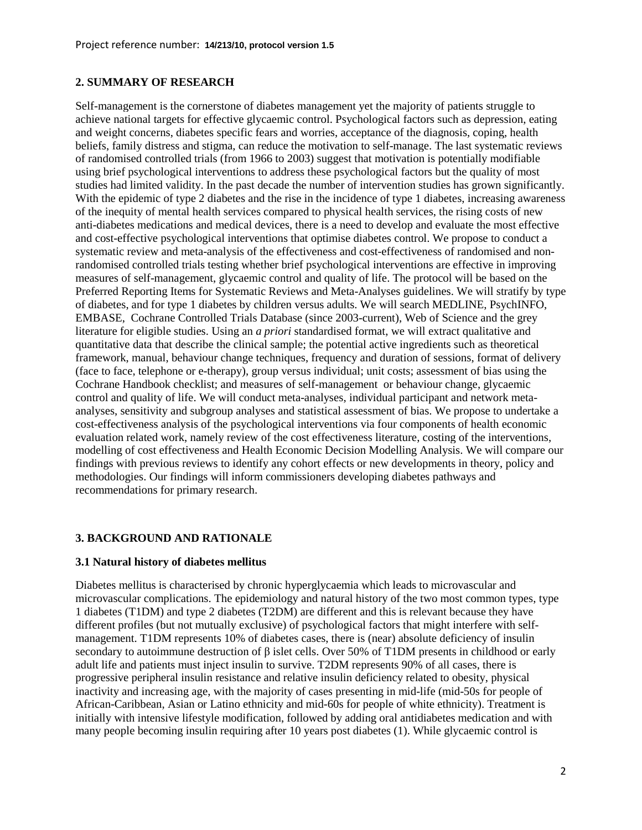#### **2. SUMMARY OF RESEARCH**

Self-management is the cornerstone of diabetes management yet the majority of patients struggle to achieve national targets for effective glycaemic control. Psychological factors such as depression, eating and weight concerns, diabetes specific fears and worries, acceptance of the diagnosis, coping, health beliefs, family distress and stigma, can reduce the motivation to self-manage. The last systematic reviews of randomised controlled trials (from 1966 to 2003) suggest that motivation is potentially modifiable using brief psychological interventions to address these psychological factors but the quality of most studies had limited validity. In the past decade the number of intervention studies has grown significantly. With the epidemic of type 2 diabetes and the rise in the incidence of type 1 diabetes, increasing awareness of the inequity of mental health services compared to physical health services, the rising costs of new anti-diabetes medications and medical devices, there is a need to develop and evaluate the most effective and cost-effective psychological interventions that optimise diabetes control. We propose to conduct a systematic review and meta-analysis of the effectiveness and cost-effectiveness of randomised and nonrandomised controlled trials testing whether brief psychological interventions are effective in improving measures of self-management, glycaemic control and quality of life. The protocol will be based on the Preferred Reporting Items for Systematic Reviews and Meta-Analyses guidelines. We will stratify by type of diabetes, and for type 1 diabetes by children versus adults. We will search MEDLINE, PsychINFO, EMBASE, Cochrane Controlled Trials Database (since 2003-current), Web of Science and the grey literature for eligible studies. Using an *a priori* standardised format, we will extract qualitative and quantitative data that describe the clinical sample; the potential active ingredients such as theoretical framework, manual, behaviour change techniques, frequency and duration of sessions, format of delivery (face to face, telephone or e-therapy), group versus individual; unit costs; assessment of bias using the Cochrane Handbook checklist; and measures of self-management or behaviour change, glycaemic control and quality of life. We will conduct meta-analyses, individual participant and network metaanalyses, sensitivity and subgroup analyses and statistical assessment of bias. We propose to undertake a cost-effectiveness analysis of the psychological interventions via four components of health economic evaluation related work, namely review of the cost effectiveness literature, costing of the interventions, modelling of cost effectiveness and Health Economic Decision Modelling Analysis. We will compare our findings with previous reviews to identify any cohort effects or new developments in theory, policy and methodologies. Our findings will inform commissioners developing diabetes pathways and recommendations for primary research.

## **3. BACKGROUND AND RATIONALE**

## **3.1 Natural history of diabetes mellitus**

Diabetes mellitus is characterised by chronic hyperglycaemia which leads to microvascular and microvascular complications. The epidemiology and natural history of the two most common types, type 1 diabetes (T1DM) and type 2 diabetes (T2DM) are different and this is relevant because they have different profiles (but not mutually exclusive) of psychological factors that might interfere with selfmanagement. T1DM represents 10% of diabetes cases, there is (near) absolute deficiency of insulin secondary to autoimmune destruction of β islet cells. Over 50% of T1DM presents in childhood or early adult life and patients must inject insulin to survive. T2DM represents 90% of all cases, there is progressive peripheral insulin resistance and relative insulin deficiency related to obesity, physical inactivity and increasing age, with the majority of cases presenting in mid-life (mid-50s for people of African-Caribbean, Asian or Latino ethnicity and mid-60s for people of white ethnicity). Treatment is initially with intensive lifestyle modification, followed by adding oral antidiabetes medication and with many people becoming insulin requiring after 10 years post diabetes [\(1\)](#page-22-0). While glycaemic control is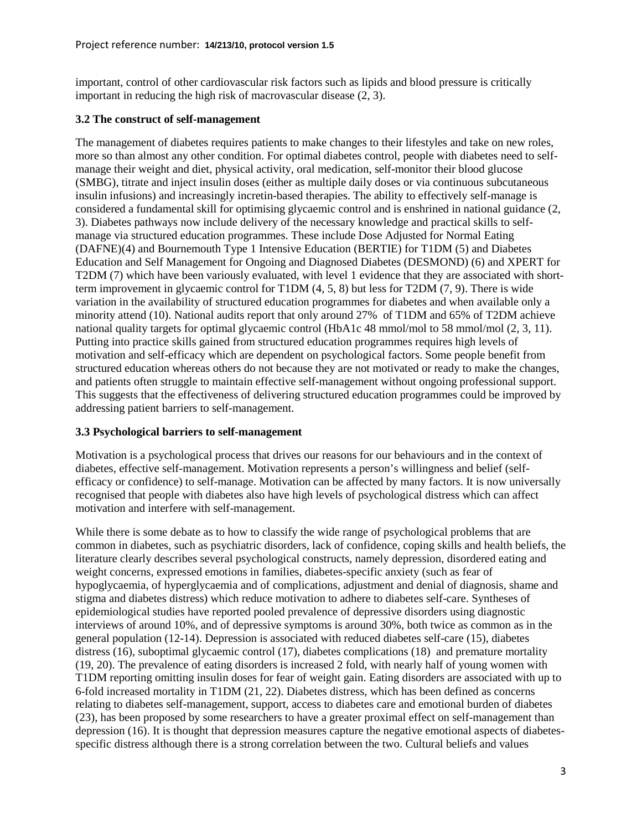important, control of other cardiovascular risk factors such as lipids and blood pressure is critically important in reducing the high risk of macrovascular disease [\(2,](#page-22-1) [3\)](#page-22-2).

## **3.2 The construct of self-management**

The management of diabetes requires patients to make changes to their lifestyles and take on new roles, more so than almost any other condition. For optimal diabetes control, people with diabetes need to selfmanage their weight and diet, physical activity, oral medication, self-monitor their blood glucose (SMBG), titrate and inject insulin doses (either as multiple daily doses or via continuous subcutaneous insulin infusions) and increasingly incretin-based therapies. The ability to effectively self-manage is considered a fundamental skill for optimising glycaemic control and is enshrined in national guidance [\(2,](#page-22-1) [3\)](#page-22-2). Diabetes pathways now include delivery of the necessary knowledge and practical skills to selfmanage via structured education programmes. These include Dose Adjusted for Normal Eating (DAFNE)[\(4\)](#page-22-3) and Bournemouth Type 1 Intensive Education (BERTIE) for T1DM [\(5\)](#page-22-4) and Diabetes Education and Self Management for Ongoing and Diagnosed Diabetes (DESMOND) [\(6\)](#page-22-5) and XPERT for T2DM [\(7\)](#page-22-6) which have been variously evaluated, with level 1 evidence that they are associated with shortterm improvement in glycaemic control for T1DM [\(4,](#page-22-3) [5,](#page-22-4) [8\)](#page-22-7) but less for T2DM [\(7,](#page-22-6) [9\)](#page-22-8). There is wide variation in the availability of structured education programmes for diabetes and when available only a minority attend [\(10\)](#page-22-9). National audits report that only around 27% of T1DM and 65% of T2DM achieve national quality targets for optimal glycaemic control (HbA1c 48 mmol/mol to 58 mmol/mol [\(2,](#page-22-1) [3,](#page-22-2) [11\)](#page-22-10). Putting into practice skills gained from structured education programmes requires high levels of motivation and self-efficacy which are dependent on psychological factors. Some people benefit from structured education whereas others do not because they are not motivated or ready to make the changes, and patients often struggle to maintain effective self-management without ongoing professional support. This suggests that the effectiveness of delivering structured education programmes could be improved by addressing patient barriers to self-management.

## **3.3 Psychological barriers to self-management**

Motivation is a psychological process that drives our reasons for our behaviours and in the context of diabetes, effective self-management. Motivation represents a person's willingness and belief (selfefficacy or confidence) to self-manage. Motivation can be affected by many factors. It is now universally recognised that people with diabetes also have high levels of psychological distress which can affect motivation and interfere with self-management.

While there is some debate as to how to classify the wide range of psychological problems that are common in diabetes, such as psychiatric disorders, lack of confidence, coping skills and health beliefs, the literature clearly describes several psychological constructs, namely depression, disordered eating and weight concerns, expressed emotions in families, diabetes-specific anxiety (such as fear of hypoglycaemia, of hyperglycaemia and of complications, adjustment and denial of diagnosis, shame and stigma and diabetes distress) which reduce motivation to adhere to diabetes self-care. Syntheses of epidemiological studies have reported pooled prevalence of depressive disorders using diagnostic interviews of around 10%, and of depressive symptoms is around 30%, both twice as common as in the general population [\(12-14\)](#page-22-11). Depression is associated with reduced diabetes self-care [\(15\)](#page-22-12), diabetes distress [\(16\)](#page-22-13), suboptimal glycaemic control [\(17\)](#page-22-14), diabetes complications [\(18\)](#page-23-0) and premature mortality [\(19,](#page-23-1) [20\)](#page-23-2). The prevalence of eating disorders is increased 2 fold, with nearly half of young women with T1DM reporting omitting insulin doses for fear of weight gain. Eating disorders are associated with up to 6-fold increased mortality in T1DM [\(21,](#page-23-3) [22\)](#page-23-4). Diabetes distress, which has been defined as concerns relating to diabetes self-management, support, access to diabetes care and emotional burden of diabetes [\(23\)](#page-23-5), has been proposed by some researchers to have a greater proximal effect on self-management than depression [\(16\)](#page-22-13). It is thought that depression measures capture the negative emotional aspects of diabetesspecific distress although there is a strong correlation between the two. Cultural beliefs and values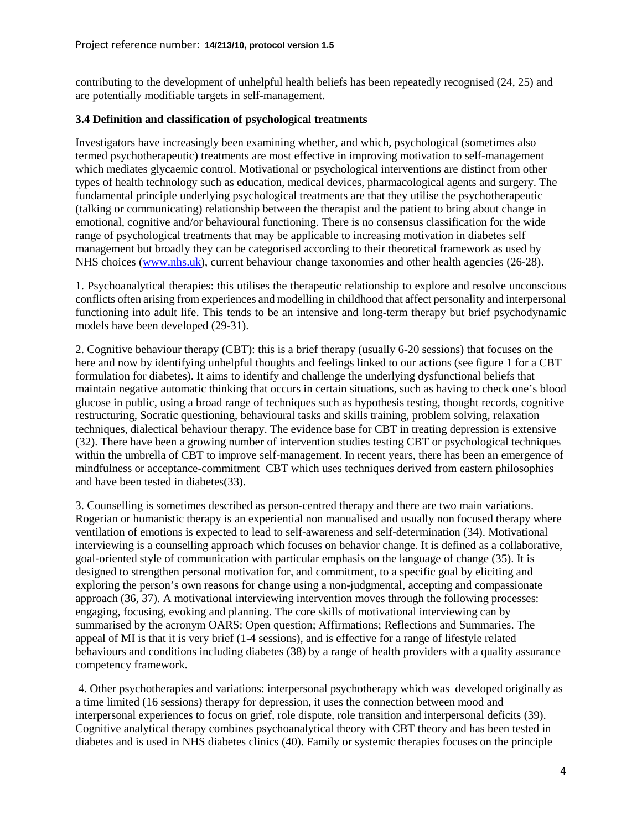contributing to the development of unhelpful health beliefs has been repeatedly recognised [\(24,](#page-23-6) [25\)](#page-23-7) and are potentially modifiable targets in self-management.

#### **3.4 Definition and classification of psychological treatments**

Investigators have increasingly been examining whether, and which, psychological (sometimes also termed psychotherapeutic) treatments are most effective in improving motivation to self-management which mediates glycaemic control. Motivational or psychological interventions are distinct from other types of health technology such as education, medical devices, pharmacological agents and surgery. The fundamental principle underlying psychological treatments are that they utilise the psychotherapeutic (talking or communicating) relationship between the therapist and the patient to bring about change in emotional, cognitive and/or behavioural functioning. There is no consensus classification for the wide range of psychological treatments that may be applicable to increasing motivation in diabetes self management but broadly they can be categorised according to their theoretical framework as used by NHS choices [\(www.nhs.uk\)](http://www.nhs.uk/), current behaviour change taxonomies and other health agencies [\(26-28\)](#page-23-8).

1. Psychoanalytical therapies: this utilises the therapeutic relationship to explore and resolve unconscious conflicts often arising from experiences and modelling in childhood that affect personality and interpersonal functioning into adult life. This tends to be an intensive and long-term therapy but brief psychodynamic models have been developed [\(29-31\)](#page-23-9).

2. Cognitive behaviour therapy (CBT): this is a brief therapy (usually 6-20 sessions) that focuses on the here and now by identifying unhelpful thoughts and feelings linked to our actions (see figure 1 for a CBT formulation for diabetes). It aims to identify and challenge the underlying dysfunctional beliefs that maintain negative automatic thinking that occurs in certain situations, such as having to check one's blood glucose in public, using a broad range of techniques such as hypothesis testing, thought records, cognitive restructuring, Socratic questioning, behavioural tasks and skills training, problem solving, relaxation techniques, dialectical behaviour therapy. The evidence base for CBT in treating depression is extensive [\(32\)](#page-23-10). There have been a growing number of intervention studies testing CBT or psychological techniques within the umbrella of CBT to improve self-management. In recent years, there has been an emergence of mindfulness or acceptance-commitment CBT which uses techniques derived from eastern philosophies and have been tested in diabetes[\(33\)](#page-23-11).

3. Counselling is sometimes described as person-centred therapy and there are two main variations. Rogerian or humanistic therapy is an experiential non manualised and usually non focused therapy where ventilation of emotions is expected to lead to self-awareness and self-determination [\(34\)](#page-23-12). Motivational interviewing is a counselling approach which focuses on behavior change. It is defined as a collaborative, goal-oriented style of communication with particular emphasis on the language of change [\(35\)](#page-23-13). It is designed to strengthen personal motivation for, and commitment, to a specific goal by eliciting and exploring the person's own reasons for change using a non-judgmental, accepting and compassionate approach [\(36,](#page-23-14) [37\)](#page-23-15). A motivational interviewing intervention moves through the following processes: engaging, focusing, evoking and planning. The core skills of motivational interviewing can by summarised by the acronym OARS: Open question; Affirmations; Reflections and Summaries. The appeal of MI is that it is very brief (1-4 sessions), and is effective for a range of lifestyle related behaviours and conditions including diabetes [\(38\)](#page-23-16) by a range of health providers with a quality assurance competency framework.

4. Other psychotherapies and variations: interpersonal psychotherapy which was developed originally as a time limited (16 sessions) therapy for depression, it uses the connection between mood and interpersonal experiences to focus on grief, role dispute, role transition and interpersonal deficits [\(39\)](#page-23-17). Cognitive analytical therapy combines psychoanalytical theory with CBT theory and has been tested in diabetes and is used in NHS diabetes clinics [\(40\)](#page-24-0). Family or systemic therapies focuses on the principle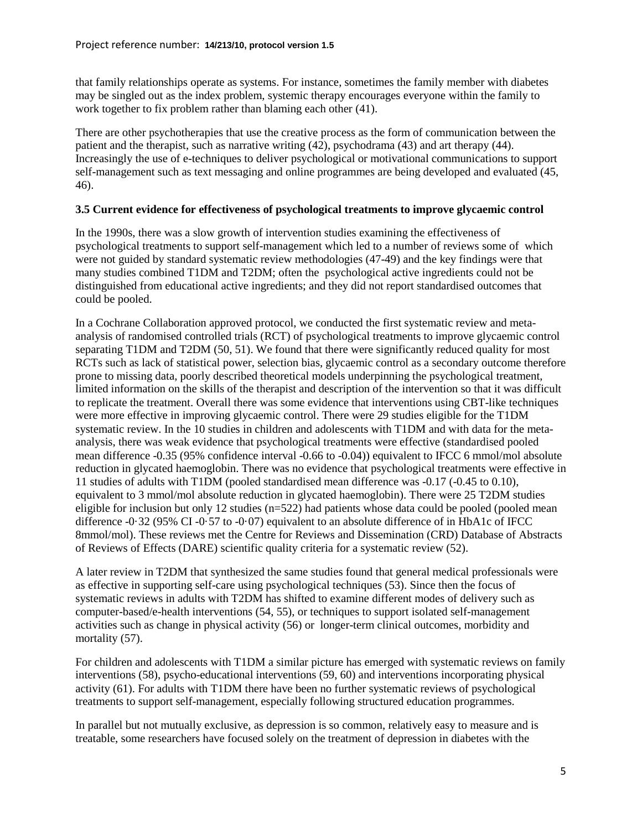that family relationships operate as systems. For instance, sometimes the family member with diabetes may be singled out as the index problem, systemic therapy encourages everyone within the family to work together to fix problem rather than blaming each other [\(41\)](#page-24-1).

There are other psychotherapies that use the creative process as the form of communication between the patient and the therapist, such as narrative writing [\(42\)](#page-24-2), psychodrama [\(43\)](#page-24-3) and art therapy [\(44\)](#page-24-4). Increasingly the use of e-techniques to deliver psychological or motivational communications to support self-management such as text messaging and online programmes are being developed and evaluated [\(45,](#page-24-5) [46\)](#page-24-6).

## **3.5 Current evidence for effectiveness of psychological treatments to improve glycaemic control**

In the 1990s, there was a slow growth of intervention studies examining the effectiveness of psychological treatments to support self-management which led to a number of reviews some of which were not guided by standard systematic review methodologies [\(47-49\)](#page-24-7) and the key findings were that many studies combined T1DM and T2DM; often the psychological active ingredients could not be distinguished from educational active ingredients; and they did not report standardised outcomes that could be pooled.

In a Cochrane Collaboration approved protocol, we conducted the first systematic review and metaanalysis of randomised controlled trials (RCT) of psychological treatments to improve glycaemic control separating T1DM and T2DM [\(50,](#page-24-8) [51\)](#page-24-9). We found that there were significantly reduced quality for most RCTs such as lack of statistical power, selection bias, glycaemic control as a secondary outcome therefore prone to missing data, poorly described theoretical models underpinning the psychological treatment, limited information on the skills of the therapist and description of the intervention so that it was difficult to replicate the treatment. Overall there was some evidence that interventions using CBT-like techniques were more effective in improving glycaemic control. There were 29 studies eligible for the T1DM systematic review. In the 10 studies in children and adolescents with T1DM and with data for the metaanalysis, there was weak evidence that psychological treatments were effective (standardised pooled mean difference -0.35 (95% confidence interval -0.66 to -0.04)) equivalent to IFCC 6 mmol/mol absolute reduction in glycated haemoglobin. There was no evidence that psychological treatments were effective in 11 studies of adults with T1DM (pooled standardised mean difference was -0.17 (-0.45 to 0.10), equivalent to 3 mmol/mol absolute reduction in glycated haemoglobin). There were 25 T2DM studies eligible for inclusion but only 12 studies  $(n=522)$  had patients whose data could be pooled (pooled mean difference -0·32 (95% CI -0·57 to -0·07) equivalent to an absolute difference of in HbA1c of IFCC 8mmol/mol). These reviews met the Centre for Reviews and Dissemination (CRD) Database of Abstracts of Reviews of Effects (DARE) scientific quality criteria for a systematic review [\(52\)](#page-24-10).

A later review in T2DM that synthesized the same studies found that general medical professionals were as effective in supporting self-care using psychological techniques [\(53\)](#page-24-11). Since then the focus of systematic reviews in adults with T2DM has shifted to examine different modes of delivery such as computer-based/e-health interventions [\(54,](#page-24-12) [55\)](#page-24-13), or techniques to support isolated self-management activities such as change in physical activity [\(56\)](#page-24-14) or longer-term clinical outcomes, morbidity and mortality [\(57\)](#page-24-15).

For children and adolescents with T1DM a similar picture has emerged with systematic reviews on family interventions [\(58\)](#page-24-16), psycho-educational interventions [\(59,](#page-25-0) [60\)](#page-25-1) and interventions incorporating physical activity [\(61\)](#page-25-2). For adults with T1DM there have been no further systematic reviews of psychological treatments to support self-management, especially following structured education programmes.

In parallel but not mutually exclusive, as depression is so common, relatively easy to measure and is treatable, some researchers have focused solely on the treatment of depression in diabetes with the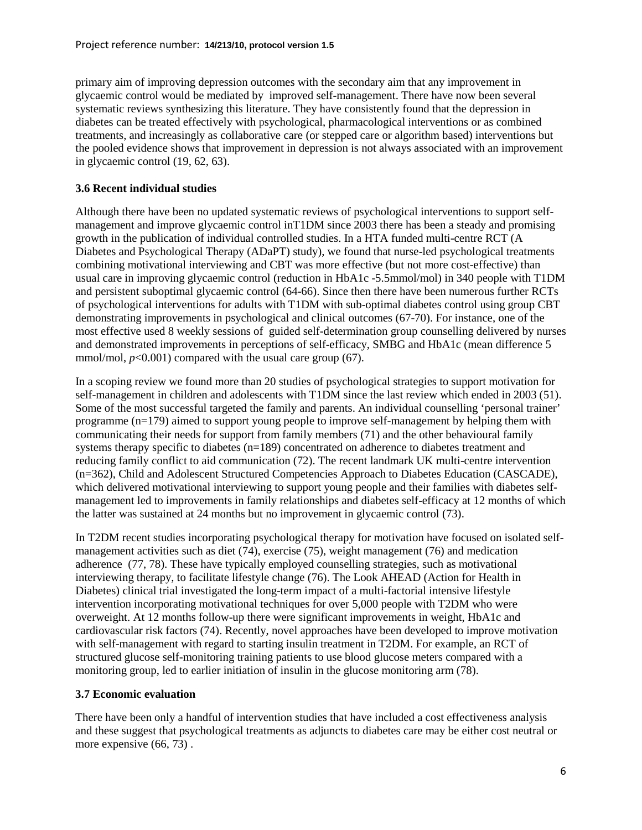primary aim of improving depression outcomes with the secondary aim that any improvement in glycaemic control would be mediated by improved self-management. There have now been several systematic reviews synthesizing this literature. They have consistently found that the depression in diabetes can be treated effectively with psychological, pharmacological interventions or as combined treatments, and increasingly as collaborative care (or stepped care or algorithm based) interventions but the pooled evidence shows that improvement in depression is not always associated with an improvement in glycaemic control [\(19,](#page-23-1) [62,](#page-25-3) [63\)](#page-25-4).

## **3.6 Recent individual studies**

Although there have been no updated systematic reviews of psychological interventions to support selfmanagement and improve glycaemic control inT1DM since 2003 there has been a steady and promising growth in the publication of individual controlled studies. In a HTA funded multi-centre RCT (A Diabetes and Psychological Therapy (ADaPT) study), we found that nurse-led psychological treatments combining motivational interviewing and CBT was more effective (but not more cost-effective) than usual care in improving glycaemic control (reduction in HbA1c -5.5mmol/mol) in 340 people with T1DM and persistent suboptimal glycaemic control [\(64-66\)](#page-25-5). Since then there have been numerous further RCTs of psychological interventions for adults with T1DM with sub-optimal diabetes control using group CBT demonstrating improvements in psychological and clinical outcomes [\(67-70\)](#page-25-6). For instance, one of the most effective used 8 weekly sessions of guided self-determination group counselling delivered by nurses and demonstrated improvements in perceptions of self-efficacy, SMBG and HbA1c (mean difference 5 mmol/mol,  $p<0.001$ ) compared with the usual care group [\(67\)](#page-25-6).

In a scoping review we found more than 20 studies of psychological strategies to support motivation for self-management in children and adolescents with T1DM since the last review which ended in 2003 [\(51\)](#page-24-9). Some of the most successful targeted the family and parents. An individual counselling 'personal trainer' programme (n=179) aimed to support young people to improve self-management by helping them with communicating their needs for support from family members [\(71\)](#page-25-7) and the other behavioural family systems therapy specific to diabetes (n=189) concentrated on adherence to diabetes treatment and reducing family conflict to aid communication [\(72\)](#page-25-8). The recent landmark UK multi-centre intervention (n=362), Child and Adolescent Structured Competencies Approach to Diabetes Education (CASCADE), which delivered motivational interviewing to support young people and their families with diabetes selfmanagement led to improvements in family relationships and diabetes self-efficacy at 12 months of which the latter was sustained at 24 months but no improvement in glycaemic control [\(73\)](#page-25-9).

In T2DM recent studies incorporating psychological therapy for motivation have focused on isolated selfmanagement activities such as diet [\(74\)](#page-25-10), exercise [\(75\)](#page-25-11), weight management [\(76\)](#page-26-0) and medication adherence [\(77,](#page-26-1) [78\)](#page-26-2). These have typically employed counselling strategies, such as motivational interviewing therapy, to facilitate lifestyle change [\(76\)](#page-26-0). The Look AHEAD (Action for Health in Diabetes) clinical trial investigated the long-term impact of a multi-factorial intensive lifestyle intervention incorporating motivational techniques for over 5,000 people with T2DM who were overweight. At 12 months follow-up there were significant improvements in weight, HbA1c and cardiovascular risk factors [\(74\)](#page-25-10). Recently, novel approaches have been developed to improve motivation with self-management with regard to starting insulin treatment in T2DM. For example, an RCT of structured glucose self-monitoring training patients to use blood glucose meters compared with a monitoring group, led to earlier initiation of insulin in the glucose monitoring arm [\(78\)](#page-26-2).

## **3.7 Economic evaluation**

There have been only a handful of intervention studies that have included a cost effectiveness analysis and these suggest that psychological treatments as adjuncts to diabetes care may be either cost neutral or more expensive  $(66, 73)$  $(66, 73)$ .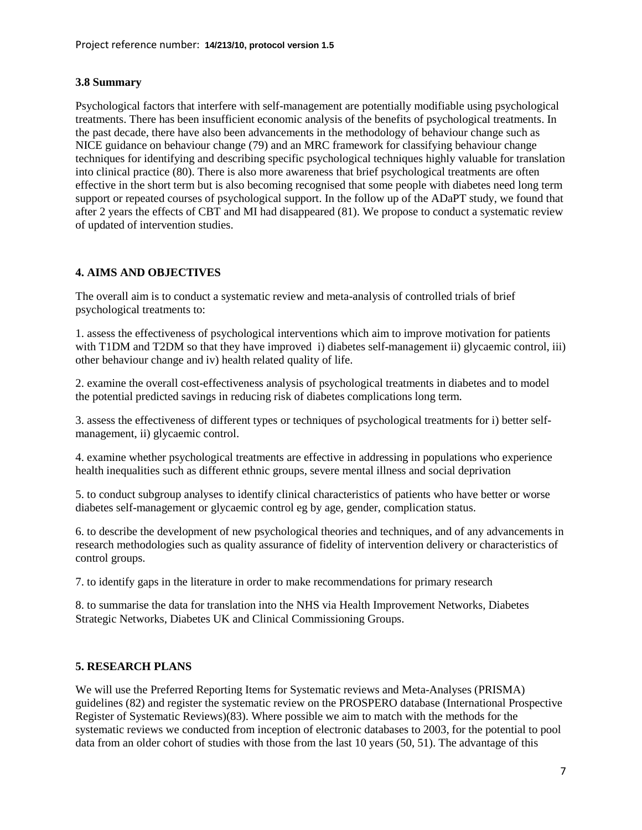## **3.8 Summary**

Psychological factors that interfere with self-management are potentially modifiable using psychological treatments. There has been insufficient economic analysis of the benefits of psychological treatments. In the past decade, there have also been advancements in the methodology of behaviour change such as NICE guidance on behaviour change [\(79\)](#page-26-3) and an MRC framework for classifying behaviour change techniques for identifying and describing specific psychological techniques highly valuable for translation into clinical practice [\(80\)](#page-26-4). There is also more awareness that brief psychological treatments are often effective in the short term but is also becoming recognised that some people with diabetes need long term support or repeated courses of psychological support. In the follow up of the ADaPT study, we found that after 2 years the effects of CBT and MI had disappeared [\(81\)](#page-26-5). We propose to conduct a systematic review of updated of intervention studies.

# **4. AIMS AND OBJECTIVES**

The overall aim is to conduct a systematic review and meta-analysis of controlled trials of brief psychological treatments to:

1. assess the effectiveness of psychological interventions which aim to improve motivation for patients with T1DM and T2DM so that they have improved i) diabetes self-management ii) glycaemic control, iii) other behaviour change and iv) health related quality of life.

2. examine the overall cost-effectiveness analysis of psychological treatments in diabetes and to model the potential predicted savings in reducing risk of diabetes complications long term.

3. assess the effectiveness of different types or techniques of psychological treatments for i) better selfmanagement, ii) glycaemic control.

4. examine whether psychological treatments are effective in addressing in populations who experience health inequalities such as different ethnic groups, severe mental illness and social deprivation

5. to conduct subgroup analyses to identify clinical characteristics of patients who have better or worse diabetes self-management or glycaemic control eg by age, gender, complication status.

6. to describe the development of new psychological theories and techniques, and of any advancements in research methodologies such as quality assurance of fidelity of intervention delivery or characteristics of control groups.

7. to identify gaps in the literature in order to make recommendations for primary research

8. to summarise the data for translation into the NHS via Health Improvement Networks, Diabetes Strategic Networks, Diabetes UK and Clinical Commissioning Groups.

## **5. RESEARCH PLANS**

We will use the Preferred Reporting Items for Systematic reviews and Meta-Analyses (PRISMA) guidelines [\(82\)](#page-26-6) and register the systematic review on the PROSPERO database (International Prospective Register of Systematic Reviews)[\(83\)](#page-26-7). Where possible we aim to match with the methods for the systematic reviews we conducted from inception of electronic databases to 2003, for the potential to pool data from an older cohort of studies with those from the last 10 years [\(50,](#page-24-8) [51\)](#page-24-9). The advantage of this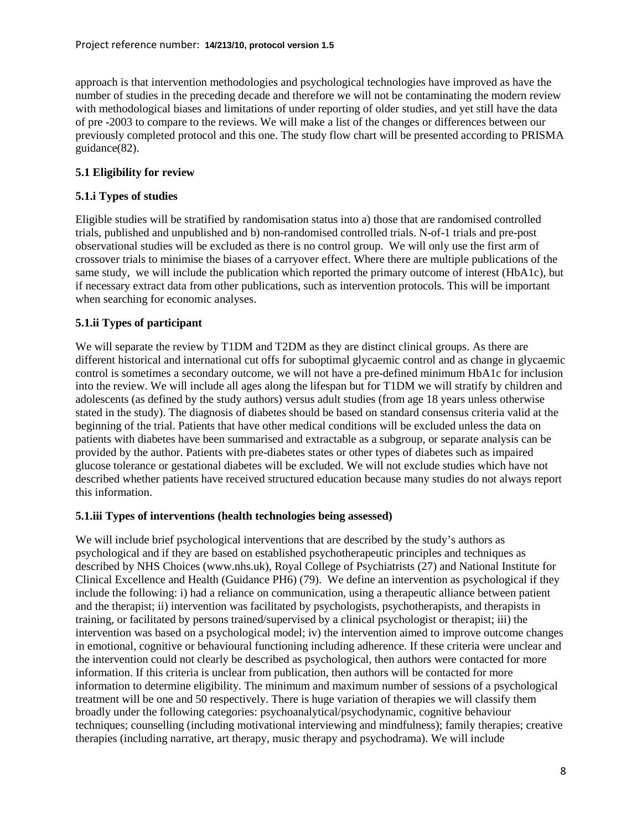approach is that intervention methodologies and psychological technologies have improved as have the number of studies in the preceding decade and therefore we will not be contaminating the modern review with methodological biases and limitations of under reporting of older studies, and yet still have the data of pre -2003 to compare to the reviews. We will make a list of the changes or differences between our previously completed protocol and this one. The study flow chart will be presented according to PRISMA guidance[\(82\)](#page-26-6).

## **5.1 Eligibility for review**

## **5.1.i Types of studies**

Eligible studies will be stratified by randomisation status into a) those that are randomised controlled trials, published and unpublished and b) non-randomised controlled trials. N-of-1 trials and pre-post observational studies will be excluded as there is no control group. We will only use the first arm of crossover trials to minimise the biases of a carryover effect. Where there are multiple publications of the same study, we will include the publication which reported the primary outcome of interest (HbA1c), but if necessary extract data from other publications, such as intervention protocols. This will be important when searching for economic analyses.

## **5.1.ii Types of participant**

We will separate the review by T1DM and T2DM as they are distinct clinical groups. As there are different historical and international cut offs for suboptimal glycaemic control and as change in glycaemic control is sometimes a secondary outcome, we will not have a pre-defined minimum HbA1c for inclusion into the review. We will include all ages along the lifespan but for T1DM we will stratify by children and adolescents (as defined by the study authors) versus adult studies (from age 18 years unless otherwise stated in the study). The diagnosis of diabetes should be based on standard consensus criteria valid at the beginning of the trial. Patients that have other medical conditions will be excluded unless the data on patients with diabetes have been summarised and extractable as a subgroup, or separate analysis can be provided by the author. Patients with pre-diabetes states or other types of diabetes such as impaired glucose tolerance or gestational diabetes will be excluded. We will not exclude studies which have not described whether patients have received structured education because many studies do not always report this information.

## **5.1.iii Types of interventions (health technologies being assessed)**

We will include brief psychological interventions that are described by the study's authors as psychological and if they are based on established psychotherapeutic principles and techniques as described by NHS Choices (www.nhs.uk), Royal College of Psychiatrists [\(27\)](#page-23-18) and National Institute for Clinical Excellence and Health (Guidance PH6) [\(79\)](#page-26-3). We define an intervention as psychological if they include the following: i) had a reliance on communication, using a therapeutic alliance between patient and the therapist; ii) intervention was facilitated by psychologists, psychotherapists, and therapists in training, or facilitated by persons trained/supervised by a clinical psychologist or therapist; iii) the intervention was based on a psychological model; iv) the intervention aimed to improve outcome changes in emotional, cognitive or behavioural functioning including adherence. If these criteria were unclear and the intervention could not clearly be described as psychological, then authors were contacted for more information. If this criteria is unclear from publication, then authors will be contacted for more information to determine eligibility. The minimum and maximum number of sessions of a psychological treatment will be one and 50 respectively. There is huge variation of therapies we will classify them broadly under the following categories: psychoanalytical/psychodynamic, cognitive behaviour techniques; counselling (including motivational interviewing and mindfulness); family therapies; creative therapies (including narrative, art therapy, music therapy and psychodrama). We will include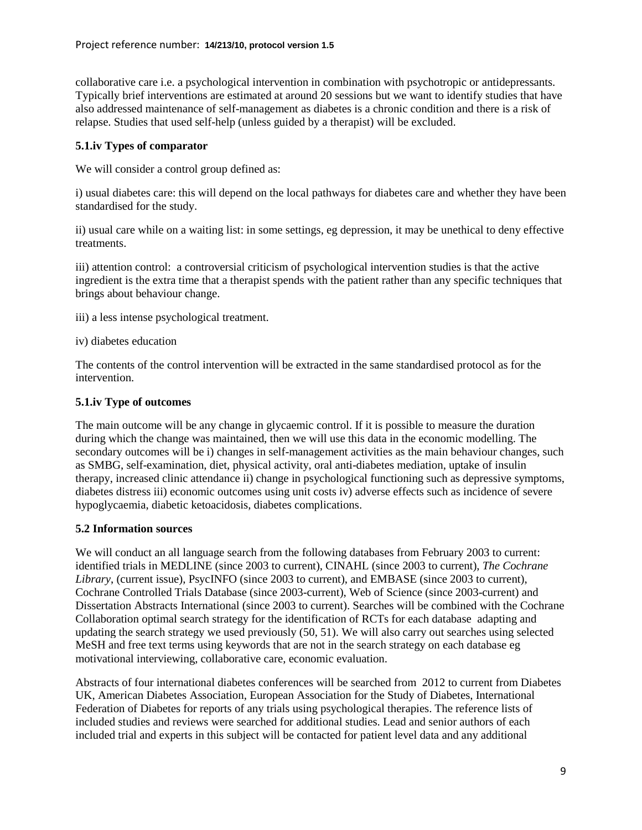collaborative care i.e. a psychological intervention in combination with psychotropic or antidepressants. Typically brief interventions are estimated at around 20 sessions but we want to identify studies that have also addressed maintenance of self-management as diabetes is a chronic condition and there is a risk of relapse. Studies that used self-help (unless guided by a therapist) will be excluded.

## **5.1.iv Types of comparator**

We will consider a control group defined as:

i) usual diabetes care: this will depend on the local pathways for diabetes care and whether they have been standardised for the study.

ii) usual care while on a waiting list: in some settings, eg depression, it may be unethical to deny effective treatments.

iii) attention control: a controversial criticism of psychological intervention studies is that the active ingredient is the extra time that a therapist spends with the patient rather than any specific techniques that brings about behaviour change.

- iii) a less intense psychological treatment.
- iv) diabetes education

The contents of the control intervention will be extracted in the same standardised protocol as for the intervention.

## **5.1.iv Type of outcomes**

The main outcome will be any change in glycaemic control. If it is possible to measure the duration during which the change was maintained, then we will use this data in the economic modelling. The secondary outcomes will be i) changes in self-management activities as the main behaviour changes, such as SMBG, self-examination, diet, physical activity, oral anti-diabetes mediation, uptake of insulin therapy, increased clinic attendance ii) change in psychological functioning such as depressive symptoms, diabetes distress iii) economic outcomes using unit costs iv) adverse effects such as incidence of severe hypoglycaemia, diabetic ketoacidosis, diabetes complications.

## **5.2 Information sources**

We will conduct an all language search from the following databases from February 2003 to current: identified trials in MEDLINE (since 2003 to current), CINAHL (since 2003 to current), *The Cochrane Library*, (current issue), PsycINFO (since 2003 to current), and EMBASE (since 2003 to current), Cochrane Controlled Trials Database (since 2003-current), Web of Science (since 2003-current) and Dissertation Abstracts International (since 2003 to current). Searches will be combined with the Cochrane Collaboration optimal search strategy for the identification of RCTs for each database adapting and updating the search strategy we used previously [\(50,](#page-24-8) [51\)](#page-24-9). We will also carry out searches using selected MeSH and free text terms using keywords that are not in the search strategy on each database eg motivational interviewing, collaborative care, economic evaluation.

Abstracts of four international diabetes conferences will be searched from 2012 to current from Diabetes UK, American Diabetes Association, European Association for the Study of Diabetes, International Federation of Diabetes for reports of any trials using psychological therapies. The reference lists of included studies and reviews were searched for additional studies. Lead and senior authors of each included trial and experts in this subject will be contacted for patient level data and any additional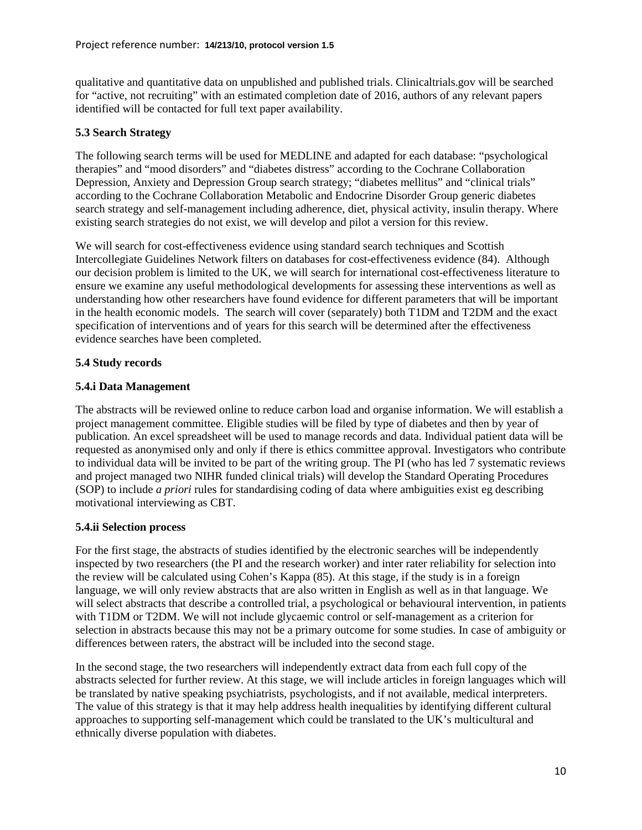qualitative and quantitative data on unpublished and published trials. Clinicaltrials.gov will be searched for "active, not recruiting" with an estimated completion date of 2016, authors of any relevant papers identified will be contacted for full text paper availability.

## **5.3 Search Strategy**

The following search terms will be used for MEDLINE and adapted for each database: "psychological therapies" and "mood disorders" and "diabetes distress" according to the Cochrane Collaboration Depression, Anxiety and Depression Group search strategy; "diabetes mellitus" and "clinical trials" according to the Cochrane Collaboration Metabolic and Endocrine Disorder Group generic diabetes search strategy and self-management including adherence, diet, physical activity, insulin therapy. Where existing search strategies do not exist, we will develop and pilot a version for this review.

We will search for cost-effectiveness evidence using standard search techniques and Scottish Intercollegiate Guidelines Network filters on databases for cost-effectiveness evidence [\(84\)](#page-26-8). Although our decision problem is limited to the UK, we will search for international cost-effectiveness literature to ensure we examine any useful methodological developments for assessing these interventions as well as understanding how other researchers have found evidence for different parameters that will be important in the health economic models. The search will cover (separately) both T1DM and T2DM and the exact specification of interventions and of years for this search will be determined after the effectiveness evidence searches have been completed.

## **5.4 Study records**

## **5.4.i Data Management**

The abstracts will be reviewed online to reduce carbon load and organise information. We will establish a project management committee. Eligible studies will be filed by type of diabetes and then by year of publication. An excel spreadsheet will be used to manage records and data. Individual patient data will be requested as anonymised only and only if there is ethics committee approval. Investigators who contribute to individual data will be invited to be part of the writing group. The PI (who has led 7 systematic reviews and project managed two NIHR funded clinical trials) will develop the Standard Operating Procedures (SOP) to include *a priori* rules for standardising coding of data where ambiguities exist eg describing motivational interviewing as CBT.

## **5.4.ii Selection process**

For the first stage, the abstracts of studies identified by the electronic searches will be independently inspected by two researchers (the PI and the research worker) and inter rater reliability for selection into the review will be calculated using Cohen's Kappa [\(85\)](#page-26-9). At this stage, if the study is in a foreign language, we will only review abstracts that are also written in English as well as in that language. We will select abstracts that describe a controlled trial, a psychological or behavioural intervention, in patients with T1DM or T2DM. We will not include glycaemic control or self-management as a criterion for selection in abstracts because this may not be a primary outcome for some studies. In case of ambiguity or differences between raters, the abstract will be included into the second stage.

In the second stage, the two researchers will independently extract data from each full copy of the abstracts selected for further review. At this stage, we will include articles in foreign languages which will be translated by native speaking psychiatrists, psychologists, and if not available, medical interpreters. The value of this strategy is that it may help address health inequalities by identifying different cultural approaches to supporting self-management which could be translated to the UK's multicultural and ethnically diverse population with diabetes.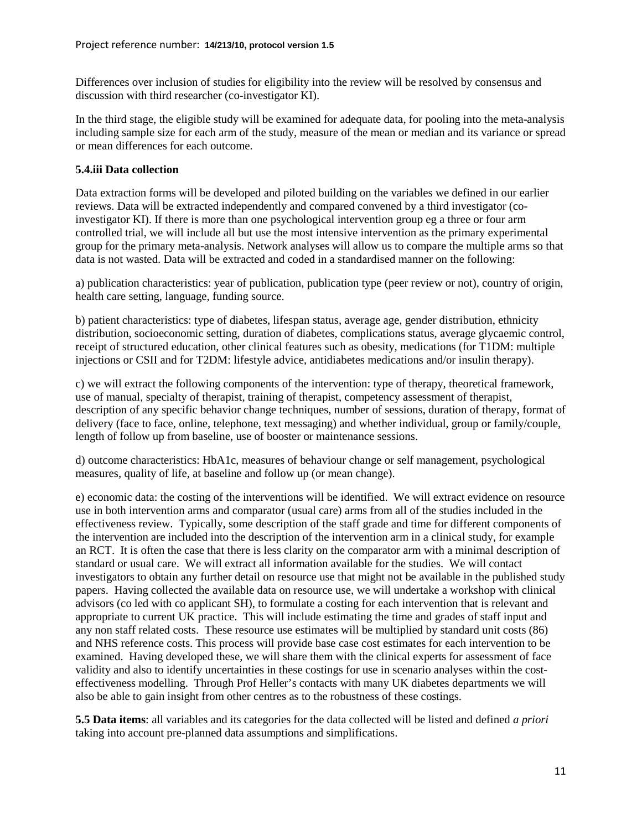Differences over inclusion of studies for eligibility into the review will be resolved by consensus and discussion with third researcher (co-investigator KI).

In the third stage, the eligible study will be examined for adequate data, for pooling into the meta-analysis including sample size for each arm of the study, measure of the mean or median and its variance or spread or mean differences for each outcome.

## **5.4.iii Data collection**

Data extraction forms will be developed and piloted building on the variables we defined in our earlier reviews. Data will be extracted independently and compared convened by a third investigator (coinvestigator KI). If there is more than one psychological intervention group eg a three or four arm controlled trial, we will include all but use the most intensive intervention as the primary experimental group for the primary meta-analysis. Network analyses will allow us to compare the multiple arms so that data is not wasted. Data will be extracted and coded in a standardised manner on the following:

a) publication characteristics: year of publication, publication type (peer review or not), country of origin, health care setting, language, funding source.

b) patient characteristics: type of diabetes, lifespan status, average age, gender distribution, ethnicity distribution, socioeconomic setting, duration of diabetes, complications status, average glycaemic control, receipt of structured education, other clinical features such as obesity, medications (for T1DM: multiple injections or CSII and for T2DM: lifestyle advice, antidiabetes medications and/or insulin therapy).

c) we will extract the following components of the intervention: type of therapy, theoretical framework, use of manual, specialty of therapist, training of therapist, competency assessment of therapist, description of any specific behavior change techniques, number of sessions, duration of therapy, format of delivery (face to face, online, telephone, text messaging) and whether individual, group or family/couple, length of follow up from baseline, use of booster or maintenance sessions.

d) outcome characteristics: HbA1c, measures of behaviour change or self management, psychological measures, quality of life, at baseline and follow up (or mean change).

e) economic data: the costing of the interventions will be identified. We will extract evidence on resource use in both intervention arms and comparator (usual care) arms from all of the studies included in the effectiveness review. Typically, some description of the staff grade and time for different components of the intervention are included into the description of the intervention arm in a clinical study, for example an RCT. It is often the case that there is less clarity on the comparator arm with a minimal description of standard or usual care. We will extract all information available for the studies. We will contact investigators to obtain any further detail on resource use that might not be available in the published study papers. Having collected the available data on resource use, we will undertake a workshop with clinical advisors (co led with co applicant SH), to formulate a costing for each intervention that is relevant and appropriate to current UK practice. This will include estimating the time and grades of staff input and any non staff related costs. These resource use estimates will be multiplied by standard unit costs [\(86\)](#page-26-10) and NHS reference costs. This process will provide base case cost estimates for each intervention to be examined. Having developed these, we will share them with the clinical experts for assessment of face validity and also to identify uncertainties in these costings for use in scenario analyses within the costeffectiveness modelling. Through Prof Heller's contacts with many UK diabetes departments we will also be able to gain insight from other centres as to the robustness of these costings.

**5.5 Data items**: all variables and its categories for the data collected will be listed and defined *a priori* taking into account pre-planned data assumptions and simplifications.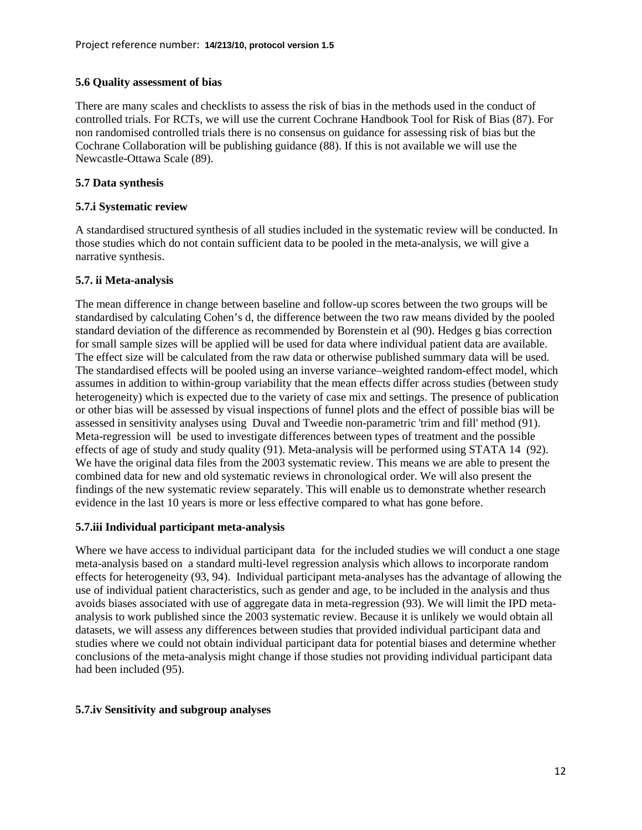## **5.6 Quality assessment of bias**

There are many scales and checklists to assess the risk of bias in the methods used in the conduct of controlled trials. For RCTs, we will use the current Cochrane Handbook Tool for Risk of Bias [\(87\)](#page-26-11). For non randomised controlled trials there is no consensus on guidance for assessing risk of bias but the Cochrane Collaboration will be publishing guidance [\(88\)](#page-26-12). If this is not available we will use the Newcastle-Ottawa Scale [\(89\)](#page-26-13).

## **5.7 Data synthesis**

## **5.7.i Systematic review**

A standardised structured synthesis of all studies included in the systematic review will be conducted. In those studies which do not contain sufficient data to be pooled in the meta-analysis, we will give a narrative synthesis.

## **5.7. ii Meta-analysis**

The mean difference in change between baseline and follow-up scores between the two groups will be standardised by calculating Cohen's d, the difference between the two raw means divided by the pooled standard deviation of the difference as recommended by Borenstein et al [\(90\)](#page-26-14). Hedges g bias correction for small sample sizes will be applied will be used for data where individual patient data are available. The effect size will be calculated from the raw data or otherwise published summary data will be used. The standardised effects will be pooled using an inverse variance–weighted random-effect model, which assumes in addition to within-group variability that the mean effects differ across studies (between study heterogeneity) which is expected due to the variety of case mix and settings. The presence of publication or other bias will be assessed by visual inspections of funnel plots and the effect of possible bias will be assessed in sensitivity analyses using Duval and Tweedie non-parametric 'trim and fill' method [\(91\)](#page-26-15). Meta-regression will be used to investigate differences between types of treatment and the possible effects of age of study and study quality [\(91\)](#page-26-15). Meta-analysis will be performed using STATA 14 [\(92\)](#page-26-16). We have the original data files from the 2003 systematic review. This means we are able to present the combined data for new and old systematic reviews in chronological order. We will also present the findings of the new systematic review separately. This will enable us to demonstrate whether research evidence in the last 10 years is more or less effective compared to what has gone before.

## **5.7.iii Individual participant meta-analysis**

Where we have access to individual participant data for the included studies we will conduct a one stage meta-analysis based on a standard multi-level regression analysis which allows to incorporate random effects for heterogeneity [\(93,](#page-26-17) [94\)](#page-26-18). Individual participant meta-analyses has the advantage of allowing the use of individual patient characteristics, such as gender and age, to be included in the analysis and thus avoids biases associated with use of aggregate data in meta-regression [\(93\)](#page-26-17). We will limit the IPD metaanalysis to work published since the 2003 systematic review. Because it is unlikely we would obtain all datasets, we will assess any differences between studies that provided individual participant data and studies where we could not obtain individual participant data for potential biases and determine whether conclusions of the meta-analysis might change if those studies not providing individual participant data had been included [\(95\)](#page-26-19).

## **5.7.iv Sensitivity and subgroup analyses**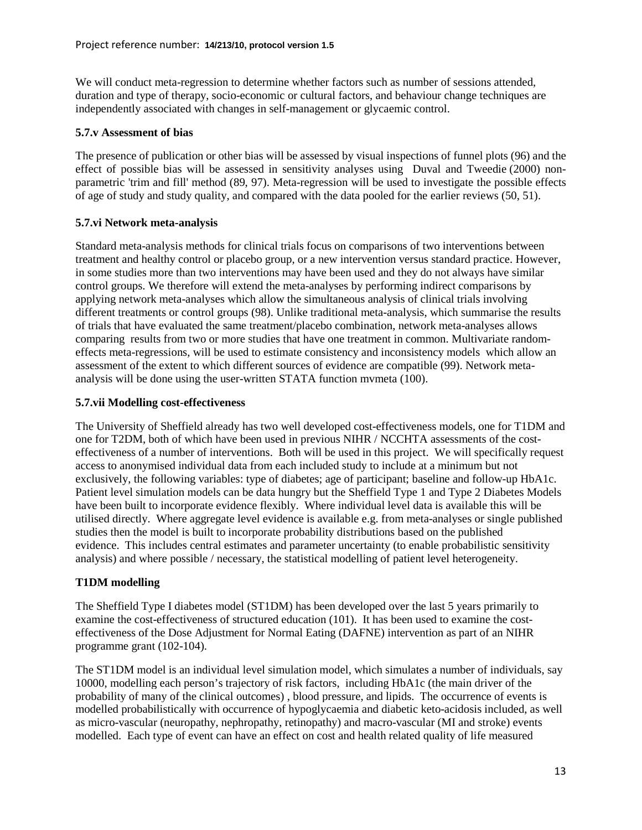We will conduct meta-regression to determine whether factors such as number of sessions attended, duration and type of therapy, socio-economic or cultural factors, and behaviour change techniques are independently associated with changes in self-management or glycaemic control.

#### **5.7.v Assessment of bias**

The presence of publication or other bias will be assessed by visual inspections of funnel plots [\(96\)](#page-27-0) and the effect of possible bias will be assessed in sensitivity analyses using Duval and Tweedie (2000) nonparametric 'trim and fill' method [\(89,](#page-26-13) [97\)](#page-27-1). Meta-regression will be used to investigate the possible effects of age of study and study quality, and compared with the data pooled for the earlier reviews [\(50,](#page-24-8) [51\)](#page-24-9).

## **5.7.vi Network meta-analysis**

Standard meta-analysis methods for clinical trials focus on comparisons of two interventions between treatment and healthy control or placebo group, or a new intervention versus standard practice. However, in some studies more than two interventions may have been used and they do not always have similar control groups. We therefore will extend the meta-analyses by performing indirect comparisons by applying network meta-analyses which allow the simultaneous analysis of clinical trials involving different treatments or control groups [\(98\)](#page-27-2). Unlike traditional meta-analysis, which summarise the results of trials that have evaluated the same treatment/placebo combination, network meta-analyses allows comparing results from two or more studies that have one treatment in common. Multivariate randomeffects meta-regressions, will be used to estimate consistency and inconsistency models which allow an assessment of the extent to which different sources of evidence are compatible [\(99\)](#page-27-3). Network metaanalysis will be done using the user-written STATA function mvmeta [\(100\)](#page-27-4).

#### **5.7.vii Modelling cost-effectiveness**

The University of Sheffield already has two well developed cost-effectiveness models, one for T1DM and one for T2DM, both of which have been used in previous NIHR / NCCHTA assessments of the costeffectiveness of a number of interventions. Both will be used in this project. We will specifically request access to anonymised individual data from each included study to include at a minimum but not exclusively, the following variables: type of diabetes; age of participant; baseline and follow-up HbA1c. Patient level simulation models can be data hungry but the Sheffield Type 1 and Type 2 Diabetes Models have been built to incorporate evidence flexibly. Where individual level data is available this will be utilised directly. Where aggregate level evidence is available e.g. from meta-analyses or single published studies then the model is built to incorporate probability distributions based on the published evidence. This includes central estimates and parameter uncertainty (to enable probabilistic sensitivity analysis) and where possible / necessary, the statistical modelling of patient level heterogeneity.

## **T1DM modelling**

The Sheffield Type I diabetes model (ST1DM) has been developed over the last 5 years primarily to examine the cost-effectiveness of structured education [\(101\)](#page-27-5). It has been used to examine the costeffectiveness of the Dose Adjustment for Normal Eating (DAFNE) intervention as part of an NIHR programme grant [\(102-104\)](#page-27-6).

The ST1DM model is an individual level simulation model, which simulates a number of individuals, say 10000, modelling each person's trajectory of risk factors, including HbA1c (the main driver of the probability of many of the clinical outcomes) , blood pressure, and lipids. The occurrence of events is modelled probabilistically with occurrence of hypoglycaemia and diabetic keto-acidosis included, as well as micro-vascular (neuropathy, nephropathy, retinopathy) and macro-vascular (MI and stroke) events modelled. Each type of event can have an effect on cost and health related quality of life measured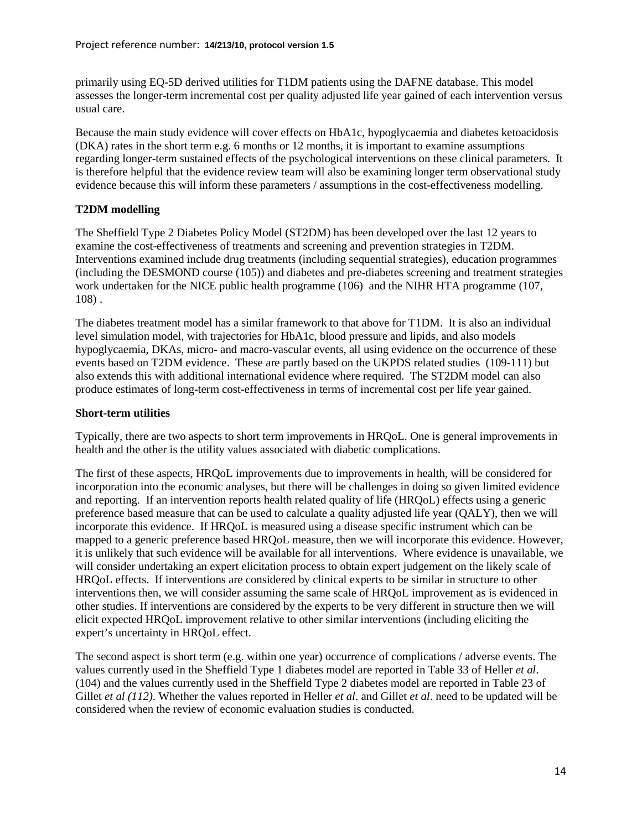primarily using EQ-5D derived utilities for T1DM patients using the DAFNE database. This model assesses the longer-term incremental cost per quality adjusted life year gained of each intervention versus usual care.

Because the main study evidence will cover effects on HbA1c, hypoglycaemia and diabetes ketoacidosis (DKA) rates in the short term e.g. 6 months or 12 months, it is important to examine assumptions regarding longer-term sustained effects of the psychological interventions on these clinical parameters. It is therefore helpful that the evidence review team will also be examining longer term observational study evidence because this will inform these parameters / assumptions in the cost-effectiveness modelling.

## **T2DM modelling**

The Sheffield Type 2 Diabetes Policy Model (ST2DM) has been developed over the last 12 years to examine the cost-effectiveness of treatments and screening and prevention strategies in T2DM. Interventions examined include drug treatments (including sequential strategies), education programmes (including the DESMOND course [\(105\)](#page-27-7)) and diabetes and pre-diabetes screening and treatment strategies work undertaken for the NICE public health programme [\(106\)](#page-27-8) and the NIHR HTA programme [\(107,](#page-27-9) [108\)](#page-27-10) .

The diabetes treatment model has a similar framework to that above for T1DM. It is also an individual level simulation model, with trajectories for HbA1c, blood pressure and lipids, and also models hypoglycaemia, DKAs, micro- and macro-vascular events, all using evidence on the occurrence of these events based on T2DM evidence. These are partly based on the UKPDS related studies [\(109-111\)](#page-27-11) but also extends this with additional international evidence where required. The ST2DM model can also produce estimates of long-term cost-effectiveness in terms of incremental cost per life year gained.

## **Short-term utilities**

Typically, there are two aspects to short term improvements in HRQoL. One is general improvements in health and the other is the utility values associated with diabetic complications.

The first of these aspects, HRQoL improvements due to improvements in health, will be considered for incorporation into the economic analyses, but there will be challenges in doing so given limited evidence and reporting. If an intervention reports health related quality of life (HRQoL) effects using a generic preference based measure that can be used to calculate a quality adjusted life year (QALY), then we will incorporate this evidence. If HRQoL is measured using a disease specific instrument which can be mapped to a generic preference based HRQoL measure, then we will incorporate this evidence. However, it is unlikely that such evidence will be available for all interventions. Where evidence is unavailable, we will consider undertaking an expert elicitation process to obtain expert judgement on the likely scale of HRQoL effects. If interventions are considered by clinical experts to be similar in structure to other interventions then, we will consider assuming the same scale of HRQoL improvement as is evidenced in other studies. If interventions are considered by the experts to be very different in structure then we will elicit expected HRQoL improvement relative to other similar interventions (including eliciting the expert's uncertainty in HRQoL effect.

The second aspect is short term (e.g. within one year) occurrence of complications / adverse events. The values currently used in the Sheffield Type 1 diabetes model are reported in Table 33 of Heller *et al*. [\(104\)](#page-27-12) and the values currently used in the Sheffield Type 2 diabetes model are reported in Table 23 of Gillet *et al [\(112\)](#page-28-0)*. Whether the values reported in Heller *et al*. and Gillet *et al*. need to be updated will be considered when the review of economic evaluation studies is conducted.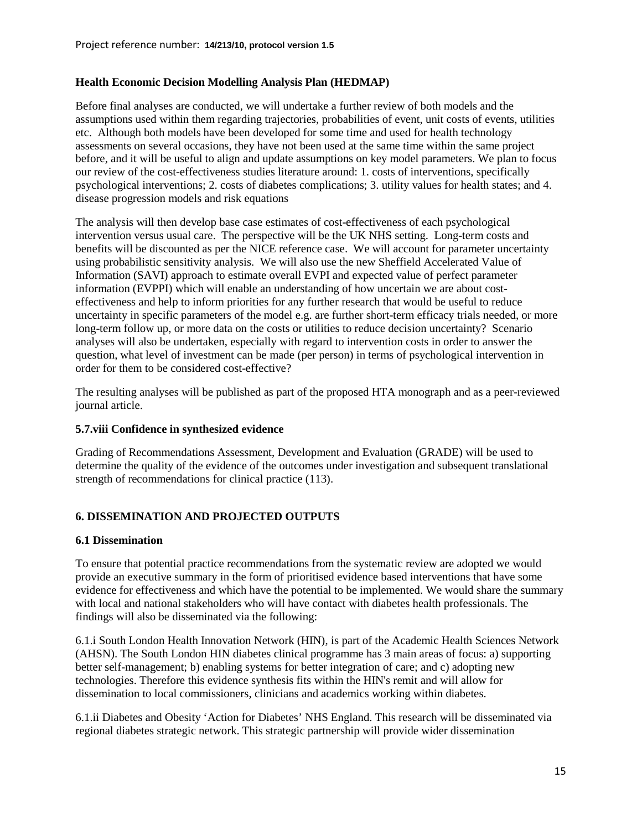## **Health Economic Decision Modelling Analysis Plan (HEDMAP)**

Before final analyses are conducted, we will undertake a further review of both models and the assumptions used within them regarding trajectories, probabilities of event, unit costs of events, utilities etc. Although both models have been developed for some time and used for health technology assessments on several occasions, they have not been used at the same time within the same project before, and it will be useful to align and update assumptions on key model parameters. We plan to focus our review of the cost-effectiveness studies literature around: 1. costs of interventions, specifically psychological interventions; 2. costs of diabetes complications; 3. utility values for health states; and 4. disease progression models and risk equations

The analysis will then develop base case estimates of cost-effectiveness of each psychological intervention versus usual care. The perspective will be the UK NHS setting. Long-term costs and benefits will be discounted as per the NICE reference case. We will account for parameter uncertainty using probabilistic sensitivity analysis. We will also use the new Sheffield Accelerated Value of Information (SAVI) approach to estimate overall EVPI and expected value of perfect parameter information (EVPPI) which will enable an understanding of how uncertain we are about costeffectiveness and help to inform priorities for any further research that would be useful to reduce uncertainty in specific parameters of the model e.g. are further short-term efficacy trials needed, or more long-term follow up, or more data on the costs or utilities to reduce decision uncertainty? Scenario analyses will also be undertaken, especially with regard to intervention costs in order to answer the question, what level of investment can be made (per person) in terms of psychological intervention in order for them to be considered cost-effective?

The resulting analyses will be published as part of the proposed HTA monograph and as a peer-reviewed journal article.

## **5.7.viii Confidence in synthesized evidence**

Grading of Recommendations Assessment, Development and Evaluation (GRADE) will be used to determine the quality of the evidence of the outcomes under investigation and subsequent translational strength of recommendations for clinical practice [\(113\)](#page-28-1).

# **6. DISSEMINATION AND PROJECTED OUTPUTS**

#### **6.1 Dissemination**

To ensure that potential practice recommendations from the systematic review are adopted we would provide an executive summary in the form of prioritised evidence based interventions that have some evidence for effectiveness and which have the potential to be implemented. We would share the summary with local and national stakeholders who will have contact with diabetes health professionals. The findings will also be disseminated via the following:

6.1.i South London Health Innovation Network (HIN), is part of the Academic Health Sciences Network (AHSN). The South London HIN diabetes clinical programme has 3 main areas of focus: a) supporting better self-management; b) enabling systems for better integration of care; and c) adopting new technologies. Therefore this evidence synthesis fits within the HIN's remit and will allow for dissemination to local commissioners, clinicians and academics working within diabetes.

6.1.ii Diabetes and Obesity 'Action for Diabetes' NHS England. This research will be disseminated via regional diabetes strategic network. This strategic partnership will provide wider dissemination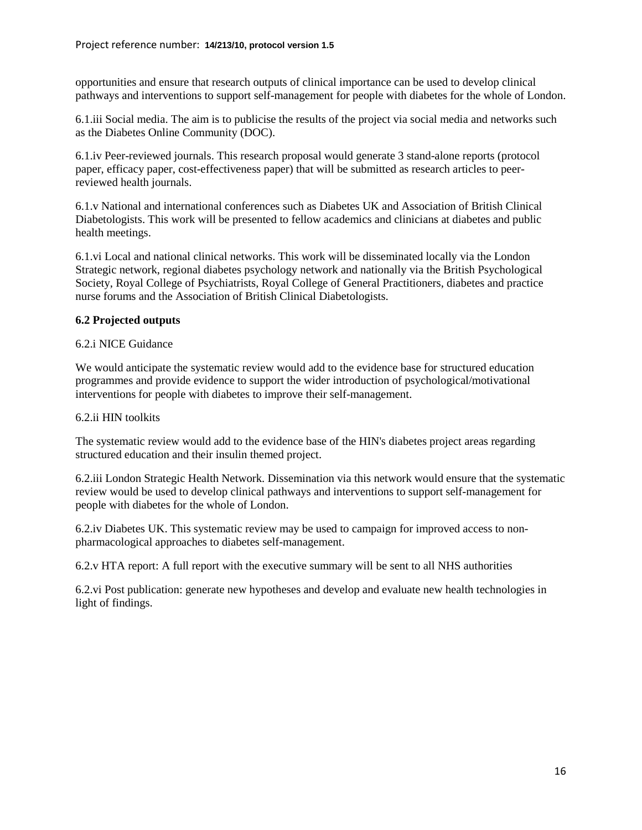opportunities and ensure that research outputs of clinical importance can be used to develop clinical pathways and interventions to support self-management for people with diabetes for the whole of London.

6.1.iii Social media. The aim is to publicise the results of the project via social media and networks such as the Diabetes Online Community (DOC).

6.1.iv Peer-reviewed journals. This research proposal would generate 3 stand-alone reports (protocol paper, efficacy paper, cost-effectiveness paper) that will be submitted as research articles to peerreviewed health journals.

6.1.v National and international conferences such as Diabetes UK and Association of British Clinical Diabetologists. This work will be presented to fellow academics and clinicians at diabetes and public health meetings.

6.1.vi Local and national clinical networks. This work will be disseminated locally via the London Strategic network, regional diabetes psychology network and nationally via the British Psychological Society, Royal College of Psychiatrists, Royal College of General Practitioners, diabetes and practice nurse forums and the Association of British Clinical Diabetologists.

## **6.2 Projected outputs**

## 6.2.i NICE Guidance

We would anticipate the systematic review would add to the evidence base for structured education programmes and provide evidence to support the wider introduction of psychological/motivational interventions for people with diabetes to improve their self-management.

## 6.2.ii HIN toolkits

The systematic review would add to the evidence base of the HIN's diabetes project areas regarding structured education and their insulin themed project.

6.2.iii London Strategic Health Network. Dissemination via this network would ensure that the systematic review would be used to develop clinical pathways and interventions to support self-management for people with diabetes for the whole of London.

6.2.iv Diabetes UK. This systematic review may be used to campaign for improved access to nonpharmacological approaches to diabetes self-management.

6.2.v HTA report: A full report with the executive summary will be sent to all NHS authorities

6.2.vi Post publication: generate new hypotheses and develop and evaluate new health technologies in light of findings.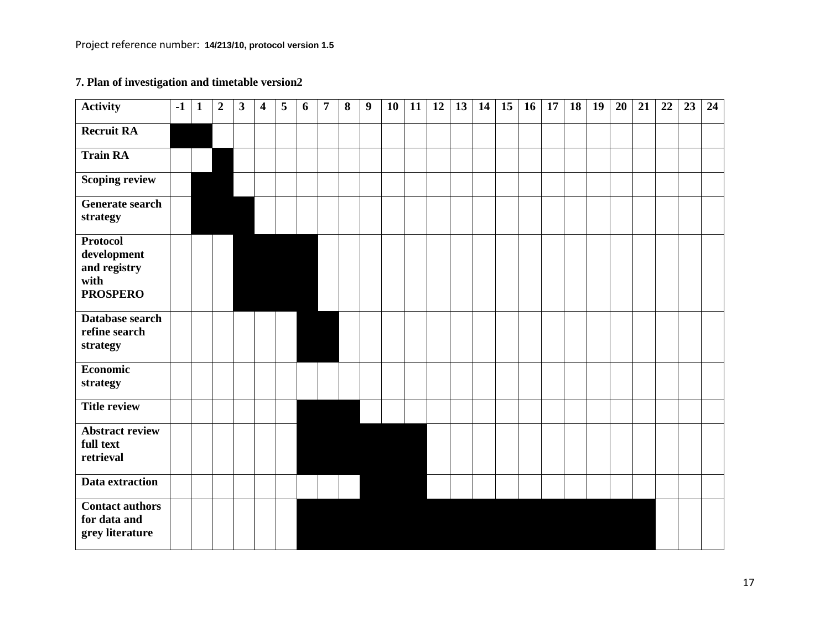# **7. Plan of investigation and timetable version2**

| Activity                                                                  | $-1$ | $\mathbf{1}$ | $\overline{2}$ | $\mathbf{3}$ | 4 | 5 | 6 | $\overline{7}$ | 8 | 9 | 10 | 11 | 12 | 13 | 14 | 15 | 16 | 17 | 18 | 19 | 20 | 21 | 22 | 23 | 24 |
|---------------------------------------------------------------------------|------|--------------|----------------|--------------|---|---|---|----------------|---|---|----|----|----|----|----|----|----|----|----|----|----|----|----|----|----|
| <b>Recruit RA</b>                                                         |      |              |                |              |   |   |   |                |   |   |    |    |    |    |    |    |    |    |    |    |    |    |    |    |    |
| <b>Train RA</b>                                                           |      |              |                |              |   |   |   |                |   |   |    |    |    |    |    |    |    |    |    |    |    |    |    |    |    |
| <b>Scoping review</b>                                                     |      |              |                |              |   |   |   |                |   |   |    |    |    |    |    |    |    |    |    |    |    |    |    |    |    |
| Generate search<br>strategy                                               |      |              |                |              |   |   |   |                |   |   |    |    |    |    |    |    |    |    |    |    |    |    |    |    |    |
| <b>Protocol</b><br>development<br>and registry<br>with<br><b>PROSPERO</b> |      |              |                |              |   |   |   |                |   |   |    |    |    |    |    |    |    |    |    |    |    |    |    |    |    |
| Database search<br>refine search<br>strategy                              |      |              |                |              |   |   |   |                |   |   |    |    |    |    |    |    |    |    |    |    |    |    |    |    |    |
| <b>Economic</b><br>strategy                                               |      |              |                |              |   |   |   |                |   |   |    |    |    |    |    |    |    |    |    |    |    |    |    |    |    |
| <b>Title review</b>                                                       |      |              |                |              |   |   |   |                |   |   |    |    |    |    |    |    |    |    |    |    |    |    |    |    |    |
| <b>Abstract review</b><br>full text<br>retrieval                          |      |              |                |              |   |   |   |                |   |   |    |    |    |    |    |    |    |    |    |    |    |    |    |    |    |
| Data extraction                                                           |      |              |                |              |   |   |   |                |   |   |    |    |    |    |    |    |    |    |    |    |    |    |    |    |    |
| <b>Contact authors</b><br>for data and<br>grey literature                 |      |              |                |              |   |   |   |                |   |   |    |    |    |    |    |    |    |    |    |    |    |    |    |    |    |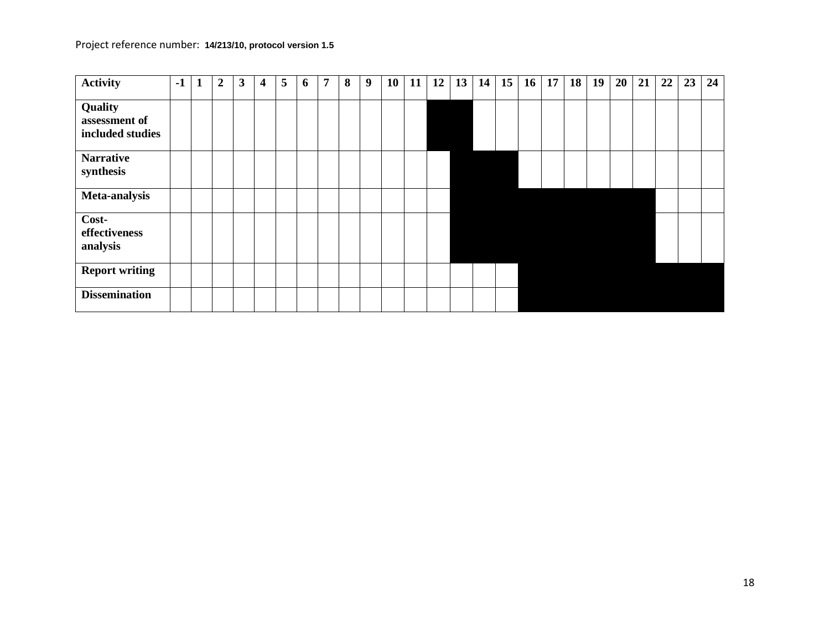| <b>Activity</b>                              | $-1$ | $\mathbf{1}$ | $\overline{2}$ | 3 | 4 | 5 | 6 | 7 | 8 | 9 | 10 <sup>1</sup> | 11 | 12 | $13 \mid 14$ | 15 | <b>16</b> | <b>17</b> | 18 <sup>1</sup> | 19 | 20 | 21 | 22 | 23 | 24 |
|----------------------------------------------|------|--------------|----------------|---|---|---|---|---|---|---|-----------------|----|----|--------------|----|-----------|-----------|-----------------|----|----|----|----|----|----|
| Quality<br>assessment of<br>included studies |      |              |                |   |   |   |   |   |   |   |                 |    |    |              |    |           |           |                 |    |    |    |    |    |    |
| <b>Narrative</b><br>synthesis                |      |              |                |   |   |   |   |   |   |   |                 |    |    |              |    |           |           |                 |    |    |    |    |    |    |
| Meta-analysis                                |      |              |                |   |   |   |   |   |   |   |                 |    |    |              |    |           |           |                 |    |    |    |    |    |    |
| Cost-<br>effectiveness<br>analysis           |      |              |                |   |   |   |   |   |   |   |                 |    |    |              |    |           |           |                 |    |    |    |    |    |    |
| <b>Report writing</b>                        |      |              |                |   |   |   |   |   |   |   |                 |    |    |              |    |           |           |                 |    |    |    |    |    |    |
| <b>Dissemination</b>                         |      |              |                |   |   |   |   |   |   |   |                 |    |    |              |    |           |           |                 |    |    |    |    |    |    |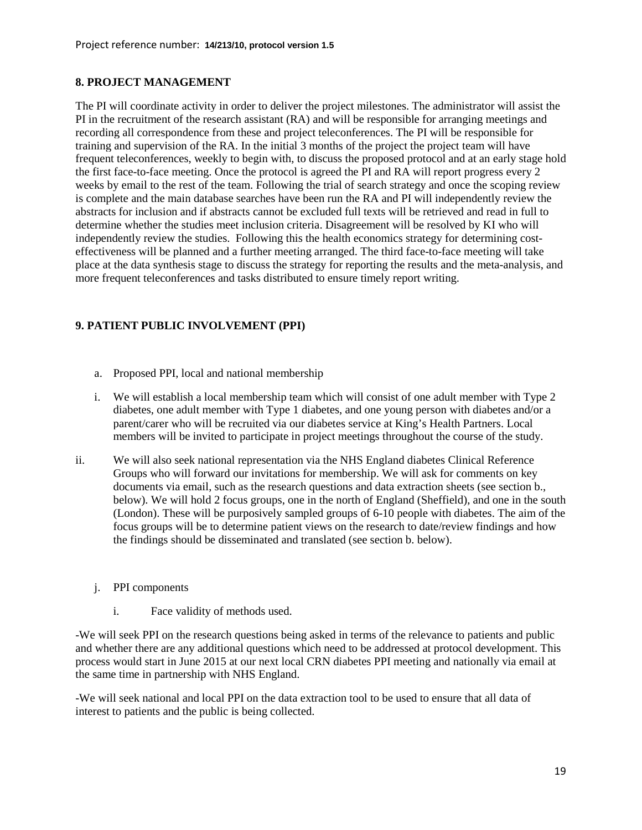#### **8. PROJECT MANAGEMENT**

The PI will coordinate activity in order to deliver the project milestones. The administrator will assist the PI in the recruitment of the research assistant (RA) and will be responsible for arranging meetings and recording all correspondence from these and project teleconferences. The PI will be responsible for training and supervision of the RA. In the initial 3 months of the project the project team will have frequent teleconferences, weekly to begin with, to discuss the proposed protocol and at an early stage hold the first face-to-face meeting. Once the protocol is agreed the PI and RA will report progress every 2 weeks by email to the rest of the team. Following the trial of search strategy and once the scoping review is complete and the main database searches have been run the RA and PI will independently review the abstracts for inclusion and if abstracts cannot be excluded full texts will be retrieved and read in full to determine whether the studies meet inclusion criteria. Disagreement will be resolved by KI who will independently review the studies. Following this the health economics strategy for determining costeffectiveness will be planned and a further meeting arranged. The third face-to-face meeting will take place at the data synthesis stage to discuss the strategy for reporting the results and the meta-analysis, and more frequent teleconferences and tasks distributed to ensure timely report writing.

## **9. PATIENT PUBLIC INVOLVEMENT (PPI)**

- a. Proposed PPI, local and national membership
- i. We will establish a local membership team which will consist of one adult member with Type 2 diabetes, one adult member with Type 1 diabetes, and one young person with diabetes and/or a parent/carer who will be recruited via our diabetes service at King's Health Partners. Local members will be invited to participate in project meetings throughout the course of the study.
- ii. We will also seek national representation via the NHS England diabetes Clinical Reference Groups who will forward our invitations for membership. We will ask for comments on key documents via email, such as the research questions and data extraction sheets (see section b., below). We will hold 2 focus groups, one in the north of England (Sheffield), and one in the south (London). These will be purposively sampled groups of 6-10 people with diabetes. The aim of the focus groups will be to determine patient views on the research to date/review findings and how the findings should be disseminated and translated (see section b. below).
	- j. PPI components
		- i. Face validity of methods used.

-We will seek PPI on the research questions being asked in terms of the relevance to patients and public and whether there are any additional questions which need to be addressed at protocol development. This process would start in June 2015 at our next local CRN diabetes PPI meeting and nationally via email at the same time in partnership with NHS England.

-We will seek national and local PPI on the data extraction tool to be used to ensure that all data of interest to patients and the public is being collected.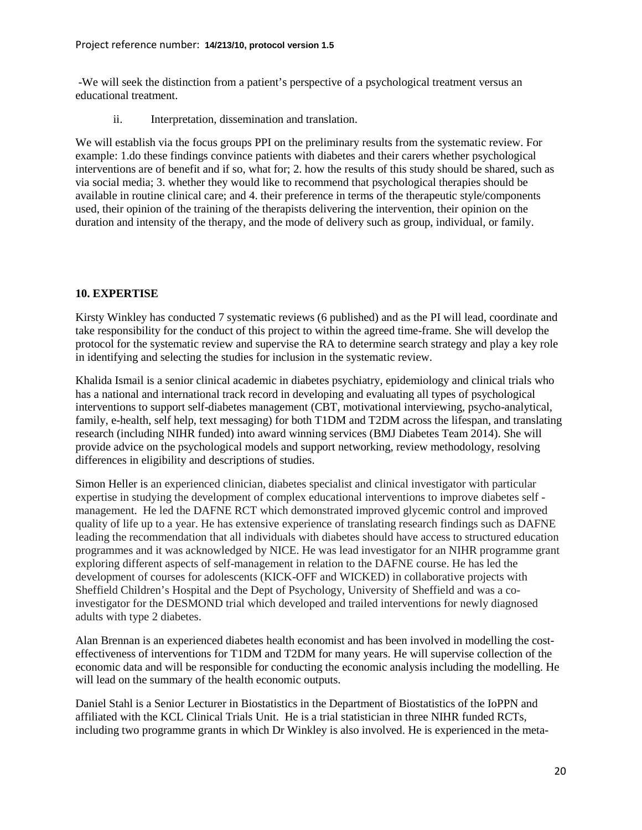-We will seek the distinction from a patient's perspective of a psychological treatment versus an educational treatment.

ii. Interpretation, dissemination and translation.

We will establish via the focus groups PPI on the preliminary results from the systematic review. For example: 1.do these findings convince patients with diabetes and their carers whether psychological interventions are of benefit and if so, what for; 2. how the results of this study should be shared, such as via social media; 3. whether they would like to recommend that psychological therapies should be available in routine clinical care; and 4. their preference in terms of the therapeutic style/components used, their opinion of the training of the therapists delivering the intervention, their opinion on the duration and intensity of the therapy, and the mode of delivery such as group, individual, or family.

# **10. EXPERTISE**

Kirsty Winkley has conducted 7 systematic reviews (6 published) and as the PI will lead, coordinate and take responsibility for the conduct of this project to within the agreed time-frame. She will develop the protocol for the systematic review and supervise the RA to determine search strategy and play a key role in identifying and selecting the studies for inclusion in the systematic review.

Khalida Ismail is a senior clinical academic in diabetes psychiatry, epidemiology and clinical trials who has a national and international track record in developing and evaluating all types of psychological interventions to support self-diabetes management (CBT, motivational interviewing, psycho-analytical, family, e-health, self help, text messaging) for both T1DM and T2DM across the lifespan, and translating research (including NIHR funded) into award winning services (BMJ Diabetes Team 2014). She will provide advice on the psychological models and support networking, review methodology, resolving differences in eligibility and descriptions of studies.

Simon Heller is an experienced clinician, diabetes specialist and clinical investigator with particular expertise in studying the development of complex educational interventions to improve diabetes self management. He led the DAFNE RCT which demonstrated improved glycemic control and improved quality of life up to a year. He has extensive experience of translating research findings such as DAFNE leading the recommendation that all individuals with diabetes should have access to structured education programmes and it was acknowledged by NICE. He was lead investigator for an NIHR programme grant exploring different aspects of self-management in relation to the DAFNE course. He has led the development of courses for adolescents (KICK-OFF and WICKED) in collaborative projects with Sheffield Children's Hospital and the Dept of Psychology, University of Sheffield and was a coinvestigator for the DESMOND trial which developed and trailed interventions for newly diagnosed adults with type 2 diabetes.

Alan Brennan is an experienced diabetes health economist and has been involved in modelling the costeffectiveness of interventions for T1DM and T2DM for many years. He will supervise collection of the economic data and will be responsible for conducting the economic analysis including the modelling. He will lead on the summary of the health economic outputs.

Daniel Stahl is a Senior Lecturer in Biostatistics in the Department of Biostatistics of the IoPPN and affiliated with the KCL Clinical Trials Unit. He is a trial statistician in three NIHR funded RCTs, including two programme grants in which Dr Winkley is also involved. He is experienced in the meta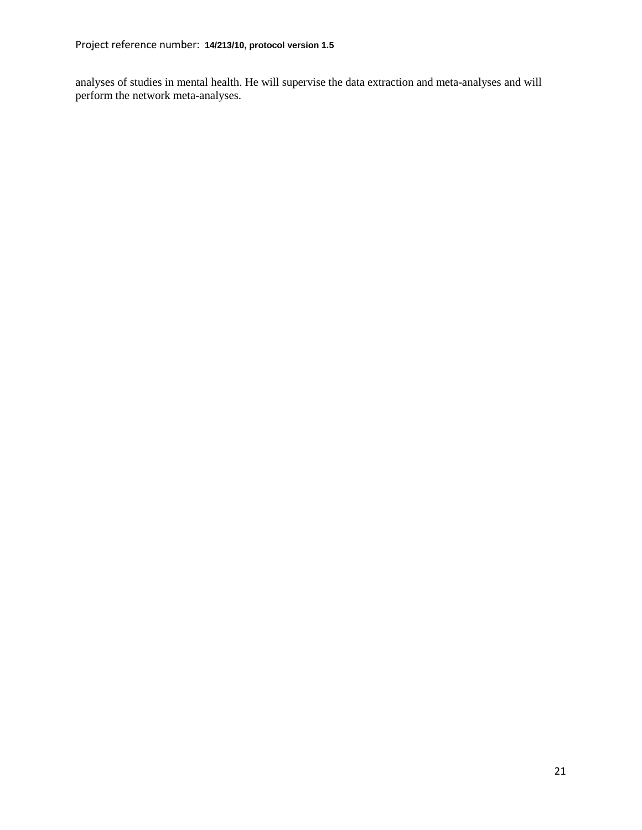analyses of studies in mental health. He will supervise the data extraction and meta-analyses and will perform the network meta-analyses.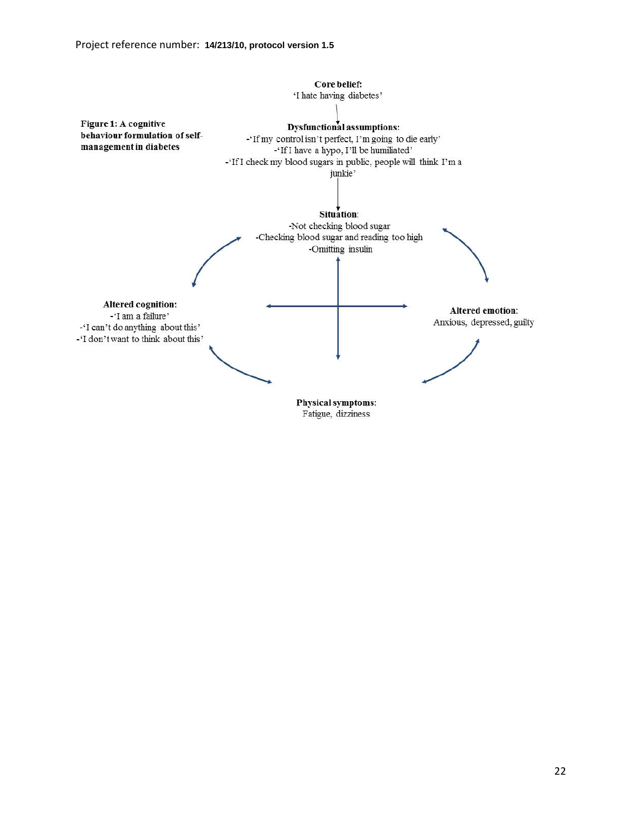

Fatigue, dizziness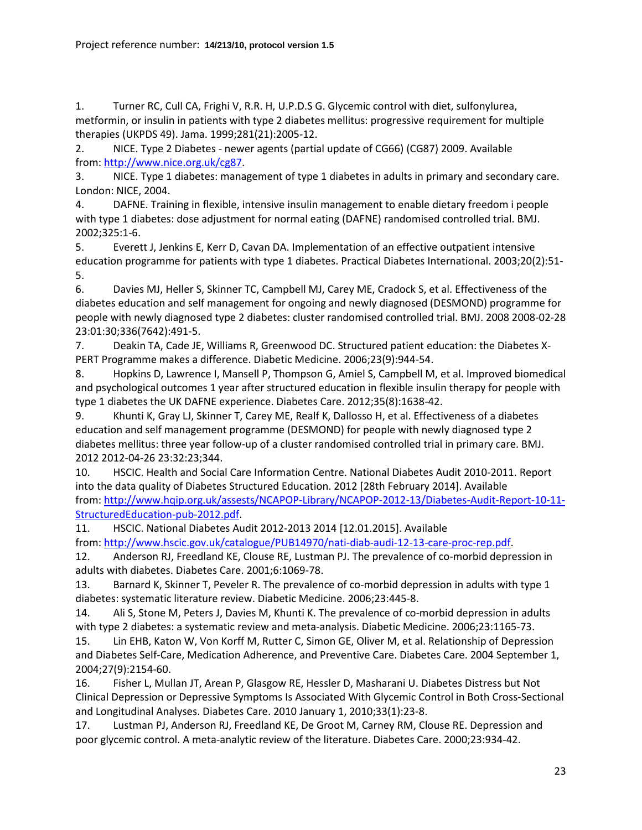<span id="page-22-0"></span>1. Turner RC, Cull CA, Frighi V, R.R. H, U.P.D.S G. Glycemic control with diet, sulfonylurea, metformin, or insulin in patients with type 2 diabetes mellitus: progressive requirement for multiple therapies (UKPDS 49). Jama. 1999;281(21):2005-12.

<span id="page-22-1"></span>2. NICE. Type 2 Diabetes - newer agents (partial update of CG66) (CG87) 2009. Available from: [http://www.nice.org.uk/cg87.](http://www.nice.org.uk/cg87)

<span id="page-22-2"></span>3. NICE. Type 1 diabetes: management of type 1 diabetes in adults in primary and secondary care. London: NICE, 2004.

<span id="page-22-3"></span>4. DAFNE. Training in flexible, intensive insulin management to enable dietary freedom i people with type 1 diabetes: dose adjustment for normal eating (DAFNE) randomised controlled trial. BMJ. 2002;325:1-6.

<span id="page-22-4"></span>5. Everett J, Jenkins E, Kerr D, Cavan DA. Implementation of an effective outpatient intensive education programme for patients with type 1 diabetes. Practical Diabetes International. 2003;20(2):51- 5.

<span id="page-22-5"></span>6. Davies MJ, Heller S, Skinner TC, Campbell MJ, Carey ME, Cradock S, et al. Effectiveness of the diabetes education and self management for ongoing and newly diagnosed (DESMOND) programme for people with newly diagnosed type 2 diabetes: cluster randomised controlled trial. BMJ. 2008 2008-02-28 23:01:30;336(7642):491-5.

<span id="page-22-6"></span>7. Deakin TA, Cade JE, Williams R, Greenwood DC. Structured patient education: the Diabetes X-PERT Programme makes a difference. Diabetic Medicine. 2006;23(9):944-54.

<span id="page-22-7"></span>8. Hopkins D, Lawrence I, Mansell P, Thompson G, Amiel S, Campbell M, et al. Improved biomedical and psychological outcomes 1 year after structured education in flexible insulin therapy for people with type 1 diabetes the UK DAFNE experience. Diabetes Care. 2012;35(8):1638-42.

<span id="page-22-8"></span>9. Khunti K, Gray LJ, Skinner T, Carey ME, Realf K, Dallosso H, et al. Effectiveness of a diabetes education and self management programme (DESMOND) for people with newly diagnosed type 2 diabetes mellitus: three year follow-up of a cluster randomised controlled trial in primary care. BMJ. 2012 2012-04-26 23:32:23;344.

<span id="page-22-9"></span>10. HSCIC. Health and Social Care Information Centre. National Diabetes Audit 2010-2011. Report into the data quality of Diabetes Structured Education. 2012 [28th February 2014]. Available from: [http://www.hqip.org.uk/assests/NCAPOP-Library/NCAPOP-2012-13/Diabetes-Audit-Report-10-11-](http://www.hqip.org.uk/assests/NCAPOP-Library/NCAPOP-2012-13/Diabetes-Audit-Report-10-11-StructuredEducation-pub-2012.pdf) [StructuredEducation-pub-2012.pdf.](http://www.hqip.org.uk/assests/NCAPOP-Library/NCAPOP-2012-13/Diabetes-Audit-Report-10-11-StructuredEducation-pub-2012.pdf)

<span id="page-22-10"></span>11. HSCIC. National Diabetes Audit 2012-2013 2014 [12.01.2015]. Available from: [http://www.hscic.gov.uk/catalogue/PUB14970/nati-diab-audi-12-13-care-proc-rep.pdf.](http://www.hscic.gov.uk/catalogue/PUB14970/nati-diab-audi-12-13-care-proc-rep.pdf)

<span id="page-22-11"></span>12. Anderson RJ, Freedland KE, Clouse RE, Lustman PJ. The prevalence of co-morbid depression in adults with diabetes. Diabetes Care. 2001;6:1069-78.

13. Barnard K, Skinner T, Peveler R. The prevalence of co-morbid depression in adults with type 1 diabetes: systematic literature review. Diabetic Medicine. 2006;23:445-8.

14. Ali S, Stone M, Peters J, Davies M, Khunti K. The prevalence of co-morbid depression in adults with type 2 diabetes: a systematic review and meta-analysis. Diabetic Medicine. 2006;23:1165-73.

<span id="page-22-12"></span>15. Lin EHB, Katon W, Von Korff M, Rutter C, Simon GE, Oliver M, et al. Relationship of Depression and Diabetes Self-Care, Medication Adherence, and Preventive Care. Diabetes Care. 2004 September 1, 2004;27(9):2154-60.

<span id="page-22-13"></span>16. Fisher L, Mullan JT, Arean P, Glasgow RE, Hessler D, Masharani U. Diabetes Distress but Not Clinical Depression or Depressive Symptoms Is Associated With Glycemic Control in Both Cross-Sectional and Longitudinal Analyses. Diabetes Care. 2010 January 1, 2010;33(1):23-8.

<span id="page-22-14"></span>17. Lustman PJ, Anderson RJ, Freedland KE, De Groot M, Carney RM, Clouse RE. Depression and poor glycemic control. A meta-analytic review of the literature. Diabetes Care. 2000;23:934-42.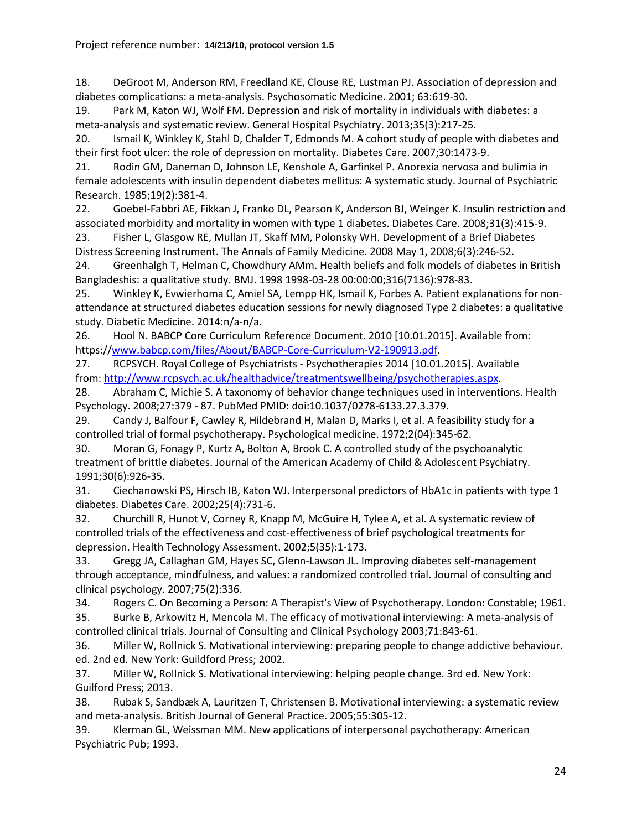<span id="page-23-0"></span>18. DeGroot M, Anderson RM, Freedland KE, Clouse RE, Lustman PJ. Association of depression and diabetes complications: a meta-analysis. Psychosomatic Medicine. 2001; 63:619-30.

<span id="page-23-1"></span>19. Park M, Katon WJ, Wolf FM. Depression and risk of mortality in individuals with diabetes: a meta-analysis and systematic review. General Hospital Psychiatry. 2013;35(3):217-25.

<span id="page-23-2"></span>20. Ismail K, Winkley K, Stahl D, Chalder T, Edmonds M. A cohort study of people with diabetes and their first foot ulcer: the role of depression on mortality. Diabetes Care. 2007;30:1473-9.

<span id="page-23-3"></span>21. Rodin GM, Daneman D, Johnson LE, Kenshole A, Garfinkel P. Anorexia nervosa and bulimia in female adolescents with insulin dependent diabetes mellitus: A systematic study. Journal of Psychiatric Research. 1985;19(2):381-4.

<span id="page-23-4"></span>22. Goebel-Fabbri AE, Fikkan J, Franko DL, Pearson K, Anderson BJ, Weinger K. Insulin restriction and associated morbidity and mortality in women with type 1 diabetes. Diabetes Care. 2008;31(3):415-9.

<span id="page-23-5"></span>23. Fisher L, Glasgow RE, Mullan JT, Skaff MM, Polonsky WH. Development of a Brief Diabetes Distress Screening Instrument. The Annals of Family Medicine. 2008 May 1, 2008;6(3):246-52.

<span id="page-23-6"></span>24. Greenhalgh T, Helman C, Chowdhury AMm. Health beliefs and folk models of diabetes in British Bangladeshis: a qualitative study. BMJ. 1998 1998-03-28 00:00:00;316(7136):978-83.

<span id="page-23-7"></span>25. Winkley K, Evwierhoma C, Amiel SA, Lempp HK, Ismail K, Forbes A. Patient explanations for nonattendance at structured diabetes education sessions for newly diagnosed Type 2 diabetes: a qualitative study. Diabetic Medicine. 2014:n/a-n/a.

<span id="page-23-8"></span>26. Hool N. BABCP Core Curriculum Reference Document. 2010 [10.01.2015]. Available from: https:/[/www.babcp.com/files/About/BABCP-Core-Curriculum-V2-190913.pdf.](http://www.babcp.com/files/About/BABCP-Core-Curriculum-V2-190913.pdf)

<span id="page-23-18"></span>27. RCPSYCH. Royal College of Psychiatrists - Psychotherapies 2014 [10.01.2015]. Available from: [http://www.rcpsych.ac.uk/healthadvice/treatmentswellbeing/psychotherapies.aspx.](http://www.rcpsych.ac.uk/healthadvice/treatmentswellbeing/psychotherapies.aspx)

28. Abraham C, Michie S. A taxonomy of behavior change techniques used in interventions. Health Psychology. 2008;27:379 - 87. PubMed PMID: doi:10.1037/0278-6133.27.3.379.

<span id="page-23-9"></span>29. Candy J, Balfour F, Cawley R, Hildebrand H, Malan D, Marks I, et al. A feasibility study for a controlled trial of formal psychotherapy. Psychological medicine. 1972;2(04):345-62.

30. Moran G, Fonagy P, Kurtz A, Bolton A, Brook C. A controlled study of the psychoanalytic treatment of brittle diabetes. Journal of the American Academy of Child & Adolescent Psychiatry. 1991;30(6):926-35.

31. Ciechanowski PS, Hirsch IB, Katon WJ. Interpersonal predictors of HbA1c in patients with type 1 diabetes. Diabetes Care. 2002;25(4):731-6.

<span id="page-23-10"></span>32. Churchill R, Hunot V, Corney R, Knapp M, McGuire H, Tylee A, et al. A systematic review of controlled trials of the effectiveness and cost-effectiveness of brief psychological treatments for depression. Health Technology Assessment. 2002;5(35):1-173.

<span id="page-23-11"></span>33. Gregg JA, Callaghan GM, Hayes SC, Glenn-Lawson JL. Improving diabetes self-management through acceptance, mindfulness, and values: a randomized controlled trial. Journal of consulting and clinical psychology. 2007;75(2):336.

<span id="page-23-12"></span>34. Rogers C. On Becoming a Person: A Therapist's View of Psychotherapy. London: Constable; 1961.

<span id="page-23-13"></span>35. Burke B, Arkowitz H, Mencola M. The efficacy of motivational interviewing: A meta-analysis of controlled clinical trials. Journal of Consulting and Clinical Psychology 2003;71:843-61.

<span id="page-23-14"></span>36. Miller W, Rollnick S. Motivational interviewing: preparing people to change addictive behaviour. ed. 2nd ed. New York: Guildford Press; 2002.

<span id="page-23-15"></span>37. Miller W, Rollnick S. Motivational interviewing: helping people change. 3rd ed. New York: Guilford Press; 2013.

<span id="page-23-16"></span>38. Rubak S, Sandbæk A, Lauritzen T, Christensen B. Motivational interviewing: a systematic review and meta-analysis. British Journal of General Practice. 2005;55:305-12.

<span id="page-23-17"></span>39. Klerman GL, Weissman MM. New applications of interpersonal psychotherapy: American Psychiatric Pub; 1993.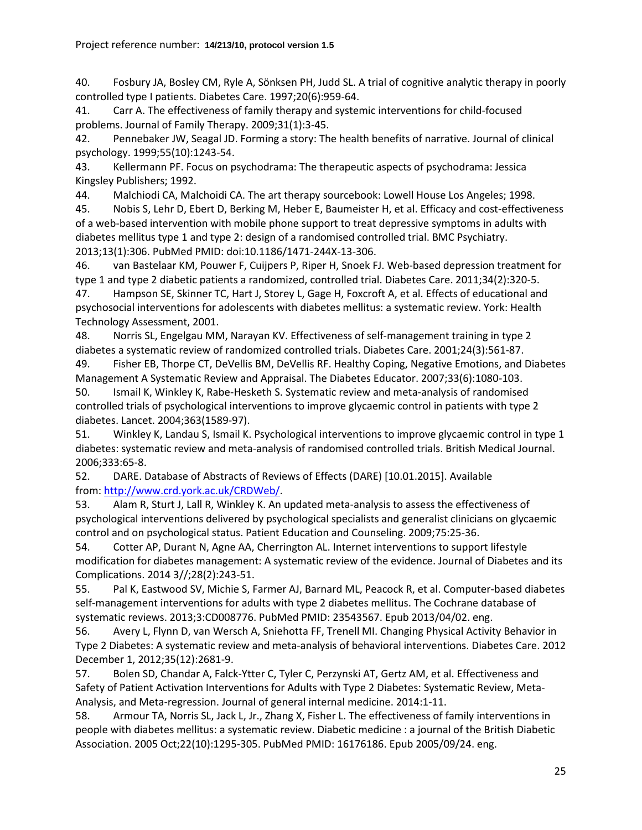<span id="page-24-0"></span>40. Fosbury JA, Bosley CM, Ryle A, Sönksen PH, Judd SL. A trial of cognitive analytic therapy in poorly controlled type I patients. Diabetes Care. 1997;20(6):959-64.

<span id="page-24-1"></span>41. Carr A. The effectiveness of family therapy and systemic interventions for child-focused problems. Journal of Family Therapy. 2009;31(1):3-45.

<span id="page-24-2"></span>42. Pennebaker JW, Seagal JD. Forming a story: The health benefits of narrative. Journal of clinical psychology. 1999;55(10):1243-54.

<span id="page-24-3"></span>43. Kellermann PF. Focus on psychodrama: The therapeutic aspects of psychodrama: Jessica Kingsley Publishers; 1992.

<span id="page-24-4"></span>44. Malchiodi CA, Malchoidi CA. The art therapy sourcebook: Lowell House Los Angeles; 1998.

<span id="page-24-5"></span>45. Nobis S, Lehr D, Ebert D, Berking M, Heber E, Baumeister H, et al. Efficacy and cost-effectiveness of a web-based intervention with mobile phone support to treat depressive symptoms in adults with diabetes mellitus type 1 and type 2: design of a randomised controlled trial. BMC Psychiatry. 2013;13(1):306. PubMed PMID: doi:10.1186/1471-244X-13-306.

<span id="page-24-6"></span>46. van Bastelaar KM, Pouwer F, Cuijpers P, Riper H, Snoek FJ. Web-based depression treatment for type 1 and type 2 diabetic patients a randomized, controlled trial. Diabetes Care. 2011;34(2):320-5.

<span id="page-24-7"></span>47. Hampson SE, Skinner TC, Hart J, Storey L, Gage H, Foxcroft A, et al. Effects of educational and psychosocial interventions for adolescents with diabetes mellitus: a systematic review. York: Health Technology Assessment, 2001.

48. Norris SL, Engelgau MM, Narayan KV. Effectiveness of self-management training in type 2 diabetes a systematic review of randomized controlled trials. Diabetes Care. 2001;24(3):561-87.

49. Fisher EB, Thorpe CT, DeVellis BM, DeVellis RF. Healthy Coping, Negative Emotions, and Diabetes Management A Systematic Review and Appraisal. The Diabetes Educator. 2007;33(6):1080-103.

<span id="page-24-8"></span>50. Ismail K, Winkley K, Rabe-Hesketh S. Systematic review and meta-analysis of randomised controlled trials of psychological interventions to improve glycaemic control in patients with type 2 diabetes. Lancet. 2004;363(1589-97).

<span id="page-24-9"></span>51. Winkley K, Landau S, Ismail K. Psychological interventions to improve glycaemic control in type 1 diabetes: systematic review and meta-analysis of randomised controlled trials. British Medical Journal. 2006;333:65-8.

<span id="page-24-10"></span>52. DARE. Database of Abstracts of Reviews of Effects (DARE) [10.01.2015]. Available from: [http://www.crd.york.ac.uk/CRDWeb/.](http://www.crd.york.ac.uk/CRDWeb/)

<span id="page-24-11"></span>53. Alam R, Sturt J, Lall R, Winkley K. An updated meta-analysis to assess the effectiveness of psychological interventions delivered by psychological specialists and generalist clinicians on glycaemic control and on psychological status. Patient Education and Counseling. 2009;75:25-36.

<span id="page-24-12"></span>54. Cotter AP, Durant N, Agne AA, Cherrington AL. Internet interventions to support lifestyle modification for diabetes management: A systematic review of the evidence. Journal of Diabetes and its Complications. 2014 3//;28(2):243-51.

<span id="page-24-13"></span>55. Pal K, Eastwood SV, Michie S, Farmer AJ, Barnard ML, Peacock R, et al. Computer-based diabetes self-management interventions for adults with type 2 diabetes mellitus. The Cochrane database of systematic reviews. 2013;3:CD008776. PubMed PMID: 23543567. Epub 2013/04/02. eng.

<span id="page-24-14"></span>56. Avery L, Flynn D, van Wersch A, Sniehotta FF, Trenell MI. Changing Physical Activity Behavior in Type 2 Diabetes: A systematic review and meta-analysis of behavioral interventions. Diabetes Care. 2012 December 1, 2012;35(12):2681-9.

<span id="page-24-15"></span>57. Bolen SD, Chandar A, Falck-Ytter C, Tyler C, Perzynski AT, Gertz AM, et al. Effectiveness and Safety of Patient Activation Interventions for Adults with Type 2 Diabetes: Systematic Review, Meta-Analysis, and Meta-regression. Journal of general internal medicine. 2014:1-11.

<span id="page-24-16"></span>58. Armour TA, Norris SL, Jack L, Jr., Zhang X, Fisher L. The effectiveness of family interventions in people with diabetes mellitus: a systematic review. Diabetic medicine : a journal of the British Diabetic Association. 2005 Oct;22(10):1295-305. PubMed PMID: 16176186. Epub 2005/09/24. eng.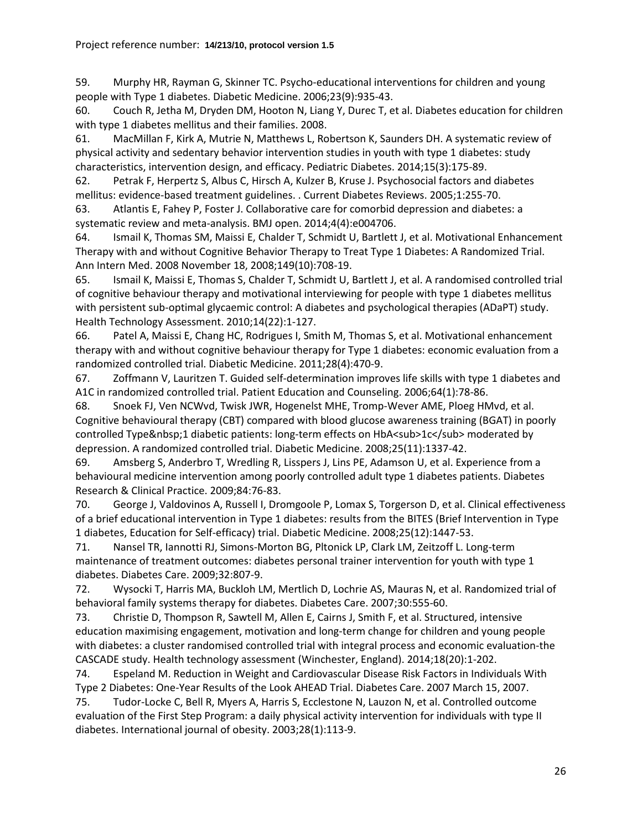<span id="page-25-0"></span>59. Murphy HR, Rayman G, Skinner TC. Psycho-educational interventions for children and young people with Type 1 diabetes. Diabetic Medicine. 2006;23(9):935-43.

<span id="page-25-1"></span>60. Couch R, Jetha M, Dryden DM, Hooton N, Liang Y, Durec T, et al. Diabetes education for children with type 1 diabetes mellitus and their families. 2008.

<span id="page-25-2"></span>61. MacMillan F, Kirk A, Mutrie N, Matthews L, Robertson K, Saunders DH. A systematic review of physical activity and sedentary behavior intervention studies in youth with type 1 diabetes: study characteristics, intervention design, and efficacy. Pediatric Diabetes. 2014;15(3):175-89.

<span id="page-25-3"></span>62. Petrak F, Herpertz S, Albus C, Hirsch A, Kulzer B, Kruse J. Psychosocial factors and diabetes mellitus: evidence-based treatment guidelines. . Current Diabetes Reviews. 2005;1:255-70.

<span id="page-25-4"></span>63. Atlantis E, Fahey P, Foster J. Collaborative care for comorbid depression and diabetes: a systematic review and meta-analysis. BMJ open. 2014;4(4):e004706.

<span id="page-25-5"></span>64. Ismail K, Thomas SM, Maissi E, Chalder T, Schmidt U, Bartlett J, et al. Motivational Enhancement Therapy with and without Cognitive Behavior Therapy to Treat Type 1 Diabetes: A Randomized Trial. Ann Intern Med. 2008 November 18, 2008;149(10):708-19.

65. Ismail K, Maissi E, Thomas S, Chalder T, Schmidt U, Bartlett J, et al. A randomised controlled trial of cognitive behaviour therapy and motivational interviewing for people with type 1 diabetes mellitus with persistent sub-optimal glycaemic control: A diabetes and psychological therapies (ADaPT) study. Health Technology Assessment. 2010;14(22):1-127.

<span id="page-25-12"></span>66. Patel A, Maissi E, Chang HC, Rodrigues I, Smith M, Thomas S, et al. Motivational enhancement therapy with and without cognitive behaviour therapy for Type 1 diabetes: economic evaluation from a randomized controlled trial. Diabetic Medicine. 2011;28(4):470-9.

<span id="page-25-6"></span>67. Zoffmann V, Lauritzen T. Guided self-determination improves life skills with type 1 diabetes and A1C in randomized controlled trial. Patient Education and Counseling. 2006;64(1):78-86.

68. Snoek FJ, Ven NCWvd, Twisk JWR, Hogenelst MHE, Tromp-Wever AME, Ploeg HMvd, et al. Cognitive behavioural therapy (CBT) compared with blood glucose awareness training (BGAT) in poorly controlled Type 1 diabetic patients: long-term effects on HbA<sub>1c</sub> moderated by depression. A randomized controlled trial. Diabetic Medicine. 2008;25(11):1337-42.

69. Amsberg S, Anderbro T, Wredling R, Lisspers J, Lins PE, Adamson U, et al. Experience from a behavioural medicine intervention among poorly controlled adult type 1 diabetes patients. Diabetes Research & Clinical Practice. 2009;84:76-83.

70. George J, Valdovinos A, Russell I, Dromgoole P, Lomax S, Torgerson D, et al. Clinical effectiveness of a brief educational intervention in Type 1 diabetes: results from the BITES (Brief Intervention in Type 1 diabetes, Education for Self-efficacy) trial. Diabetic Medicine. 2008;25(12):1447-53.

<span id="page-25-7"></span>71. Nansel TR, Iannotti RJ, Simons-Morton BG, Pltonick LP, Clark LM, Zeitzoff L. Long-term maintenance of treatment outcomes: diabetes personal trainer intervention for youth with type 1 diabetes. Diabetes Care. 2009;32:807-9.

<span id="page-25-8"></span>72. Wysocki T, Harris MA, Buckloh LM, Mertlich D, Lochrie AS, Mauras N, et al. Randomized trial of behavioral family systems therapy for diabetes. Diabetes Care. 2007;30:555-60.

<span id="page-25-9"></span>73. Christie D, Thompson R, Sawtell M, Allen E, Cairns J, Smith F, et al. Structured, intensive education maximising engagement, motivation and long-term change for children and young people with diabetes: a cluster randomised controlled trial with integral process and economic evaluation-the CASCADE study. Health technology assessment (Winchester, England). 2014;18(20):1-202.

<span id="page-25-10"></span>74. Espeland M. Reduction in Weight and Cardiovascular Disease Risk Factors in Individuals With Type 2 Diabetes: One-Year Results of the Look AHEAD Trial. Diabetes Care. 2007 March 15, 2007.

<span id="page-25-11"></span>75. Tudor-Locke C, Bell R, Myers A, Harris S, Ecclestone N, Lauzon N, et al. Controlled outcome evaluation of the First Step Program: a daily physical activity intervention for individuals with type II diabetes. International journal of obesity. 2003;28(1):113-9.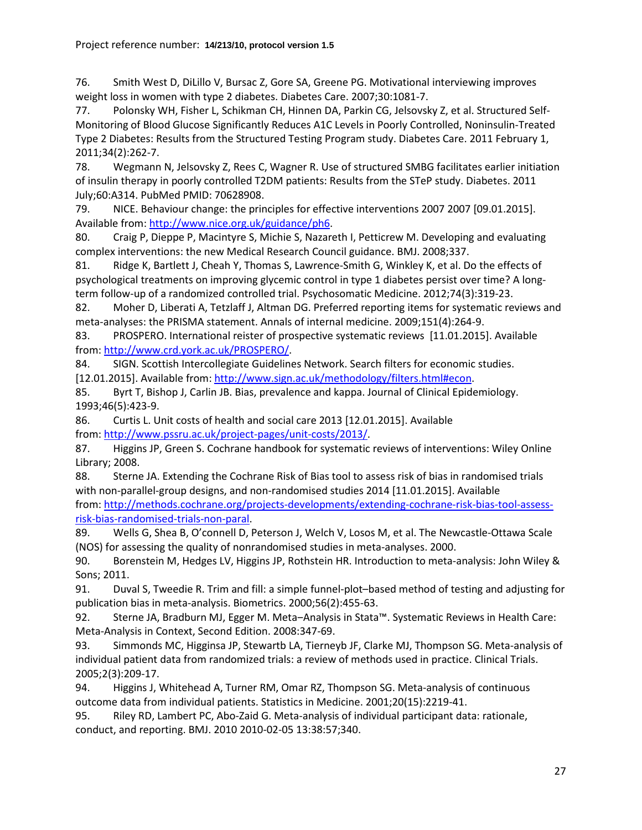<span id="page-26-0"></span>76. Smith West D, DiLillo V, Bursac Z, Gore SA, Greene PG. Motivational interviewing improves weight loss in women with type 2 diabetes. Diabetes Care. 2007;30:1081-7.

<span id="page-26-1"></span>77. Polonsky WH, Fisher L, Schikman CH, Hinnen DA, Parkin CG, Jelsovsky Z, et al. Structured Self-Monitoring of Blood Glucose Significantly Reduces A1C Levels in Poorly Controlled, Noninsulin-Treated Type 2 Diabetes: Results from the Structured Testing Program study. Diabetes Care. 2011 February 1, 2011;34(2):262-7.

<span id="page-26-2"></span>78. Wegmann N, Jelsovsky Z, Rees C, Wagner R. Use of structured SMBG facilitates earlier initiation of insulin therapy in poorly controlled T2DM patients: Results from the STeP study. Diabetes. 2011 July;60:A314. PubMed PMID: 70628908.

<span id="page-26-3"></span>79. NICE. Behaviour change: the principles for effective interventions 2007 2007 [09.01.2015]. Available from: [http://www.nice.org.uk/guidance/ph6.](http://www.nice.org.uk/guidance/ph6)

<span id="page-26-4"></span>80. Craig P, Dieppe P, Macintyre S, Michie S, Nazareth I, Petticrew M. Developing and evaluating complex interventions: the new Medical Research Council guidance. BMJ. 2008;337.

<span id="page-26-5"></span>81. Ridge K, Bartlett J, Cheah Y, Thomas S, Lawrence-Smith G, Winkley K, et al. Do the effects of psychological treatments on improving glycemic control in type 1 diabetes persist over time? A longterm follow-up of a randomized controlled trial. Psychosomatic Medicine. 2012;74(3):319-23.

<span id="page-26-6"></span>82. Moher D, Liberati A, Tetzlaff J, Altman DG. Preferred reporting items for systematic reviews and meta-analyses: the PRISMA statement. Annals of internal medicine. 2009;151(4):264-9.

<span id="page-26-7"></span>83. PROSPERO. International reister of prospective systematic reviews [11.01.2015]. Available from: [http://www.crd.york.ac.uk/PROSPERO/.](http://www.crd.york.ac.uk/PROSPERO/)

<span id="page-26-8"></span>84. SIGN. Scottish Intercollegiate Guidelines Network. Search filters for economic studies. [12.01.2015]. Available from[: http://www.sign.ac.uk/methodology/filters.html#econ.](http://www.sign.ac.uk/methodology/filters.html#econ)

<span id="page-26-9"></span>85. Byrt T, Bishop J, Carlin JB. Bias, prevalence and kappa. Journal of Clinical Epidemiology. 1993;46(5):423-9.

<span id="page-26-10"></span>86. Curtis L. Unit costs of health and social care 2013 [12.01.2015]. Available from: [http://www.pssru.ac.uk/project-pages/unit-costs/2013/.](http://www.pssru.ac.uk/project-pages/unit-costs/2013/)

<span id="page-26-11"></span>87. Higgins JP, Green S. Cochrane handbook for systematic reviews of interventions: Wiley Online Library; 2008.

<span id="page-26-12"></span>88. Sterne JA. Extending the Cochrane Risk of Bias tool to assess risk of bias in randomised trials with non-parallel-group designs, and non-randomised studies 2014 [11.01.2015]. Available from: [http://methods.cochrane.org/projects-developments/extending-cochrane-risk-bias-tool-assess](http://methods.cochrane.org/projects-developments/extending-cochrane-risk-bias-tool-assess-risk-bias-randomised-trials-non-paral)[risk-bias-randomised-trials-non-paral.](http://methods.cochrane.org/projects-developments/extending-cochrane-risk-bias-tool-assess-risk-bias-randomised-trials-non-paral)

<span id="page-26-13"></span>89. Wells G, Shea B, O'connell D, Peterson J, Welch V, Losos M, et al. The Newcastle-Ottawa Scale (NOS) for assessing the quality of nonrandomised studies in meta-analyses. 2000.

<span id="page-26-14"></span>90. Borenstein M, Hedges LV, Higgins JP, Rothstein HR. Introduction to meta-analysis: John Wiley & Sons; 2011.

<span id="page-26-15"></span>91. Duval S, Tweedie R. Trim and fill: a simple funnel-plot–based method of testing and adjusting for publication bias in meta-analysis. Biometrics. 2000;56(2):455-63.

<span id="page-26-16"></span>92. Sterne JA, Bradburn MJ, Egger M. Meta–Analysis in Stata™. Systematic Reviews in Health Care: Meta-Analysis in Context, Second Edition. 2008:347-69.

<span id="page-26-17"></span>93. Simmonds MC, Higginsa JP, Stewartb LA, Tierneyb JF, Clarke MJ, Thompson SG. Meta-analysis of individual patient data from randomized trials: a review of methods used in practice. Clinical Trials. 2005;2(3):209-17.

<span id="page-26-18"></span>94. Higgins J, Whitehead A, Turner RM, Omar RZ, Thompson SG. Meta-analysis of continuous outcome data from individual patients. Statistics in Medicine. 2001;20(15):2219-41.

<span id="page-26-19"></span>95. Riley RD, Lambert PC, Abo-Zaid G. Meta-analysis of individual participant data: rationale, conduct, and reporting. BMJ. 2010 2010-02-05 13:38:57;340.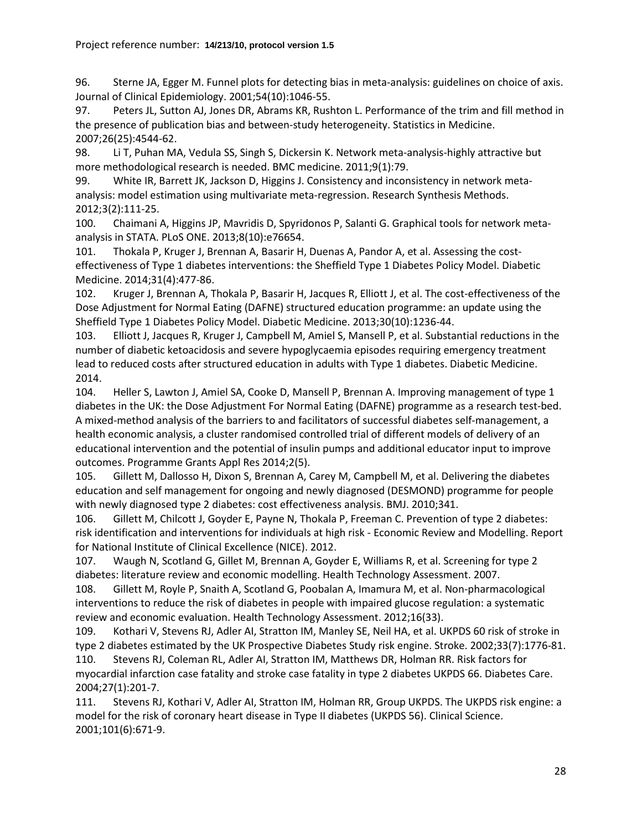<span id="page-27-0"></span>96. Sterne JA, Egger M. Funnel plots for detecting bias in meta-analysis: guidelines on choice of axis. Journal of Clinical Epidemiology. 2001;54(10):1046-55.

<span id="page-27-1"></span>97. Peters JL, Sutton AJ, Jones DR, Abrams KR, Rushton L. Performance of the trim and fill method in the presence of publication bias and between-study heterogeneity. Statistics in Medicine. 2007;26(25):4544-62.

<span id="page-27-2"></span>98. Li T, Puhan MA, Vedula SS, Singh S, Dickersin K. Network meta-analysis-highly attractive but more methodological research is needed. BMC medicine. 2011;9(1):79.

<span id="page-27-3"></span>99. White IR, Barrett JK, Jackson D, Higgins J. Consistency and inconsistency in network metaanalysis: model estimation using multivariate meta-regression. Research Synthesis Methods. 2012;3(2):111-25.

<span id="page-27-4"></span>100. Chaimani A, Higgins JP, Mavridis D, Spyridonos P, Salanti G. Graphical tools for network metaanalysis in STATA. PLoS ONE. 2013;8(10):e76654.

<span id="page-27-5"></span>101. Thokala P, Kruger J, Brennan A, Basarir H, Duenas A, Pandor A, et al. Assessing the costeffectiveness of Type 1 diabetes interventions: the Sheffield Type 1 Diabetes Policy Model. Diabetic Medicine. 2014;31(4):477-86.

<span id="page-27-6"></span>102. Kruger J, Brennan A, Thokala P, Basarir H, Jacques R, Elliott J, et al. The cost-effectiveness of the Dose Adjustment for Normal Eating (DAFNE) structured education programme: an update using the Sheffield Type 1 Diabetes Policy Model. Diabetic Medicine. 2013;30(10):1236-44.

103. Elliott J, Jacques R, Kruger J, Campbell M, Amiel S, Mansell P, et al. Substantial reductions in the number of diabetic ketoacidosis and severe hypoglycaemia episodes requiring emergency treatment lead to reduced costs after structured education in adults with Type 1 diabetes. Diabetic Medicine. 2014.

<span id="page-27-12"></span>104. Heller S, Lawton J, Amiel SA, Cooke D, Mansell P, Brennan A. Improving management of type 1 diabetes in the UK: the Dose Adjustment For Normal Eating (DAFNE) programme as a research test-bed. A mixed-method analysis of the barriers to and facilitators of successful diabetes self-management, a health economic analysis, a cluster randomised controlled trial of different models of delivery of an educational intervention and the potential of insulin pumps and additional educator input to improve outcomes. Programme Grants Appl Res 2014;2(5).

<span id="page-27-7"></span>105. Gillett M, Dallosso H, Dixon S, Brennan A, Carey M, Campbell M, et al. Delivering the diabetes education and self management for ongoing and newly diagnosed (DESMOND) programme for people with newly diagnosed type 2 diabetes: cost effectiveness analysis. BMJ. 2010;341.

<span id="page-27-8"></span>106. Gillett M, Chilcott J, Goyder E, Payne N, Thokala P, Freeman C. Prevention of type 2 diabetes: risk identification and interventions for individuals at high risk - Economic Review and Modelling. Report for National Institute of Clinical Excellence (NICE). 2012.

<span id="page-27-9"></span>107. Waugh N, Scotland G, Gillet M, Brennan A, Goyder E, Williams R, et al. Screening for type 2 diabetes: literature review and economic modelling. Health Technology Assessment. 2007.

<span id="page-27-10"></span>108. Gillett M, Royle P, Snaith A, Scotland G, Poobalan A, Imamura M, et al. Non-pharmacological interventions to reduce the risk of diabetes in people with impaired glucose regulation: a systematic review and economic evaluation. Health Technology Assessment. 2012;16(33).

<span id="page-27-11"></span>109. Kothari V, Stevens RJ, Adler AI, Stratton IM, Manley SE, Neil HA, et al. UKPDS 60 risk of stroke in type 2 diabetes estimated by the UK Prospective Diabetes Study risk engine. Stroke. 2002;33(7):1776-81. 110. Stevens RJ, Coleman RL, Adler AI, Stratton IM, Matthews DR, Holman RR. Risk factors for myocardial infarction case fatality and stroke case fatality in type 2 diabetes UKPDS 66. Diabetes Care. 2004;27(1):201-7.

111. Stevens RJ, Kothari V, Adler AI, Stratton IM, Holman RR, Group UKPDS. The UKPDS risk engine: a model for the risk of coronary heart disease in Type II diabetes (UKPDS 56). Clinical Science. 2001;101(6):671-9.